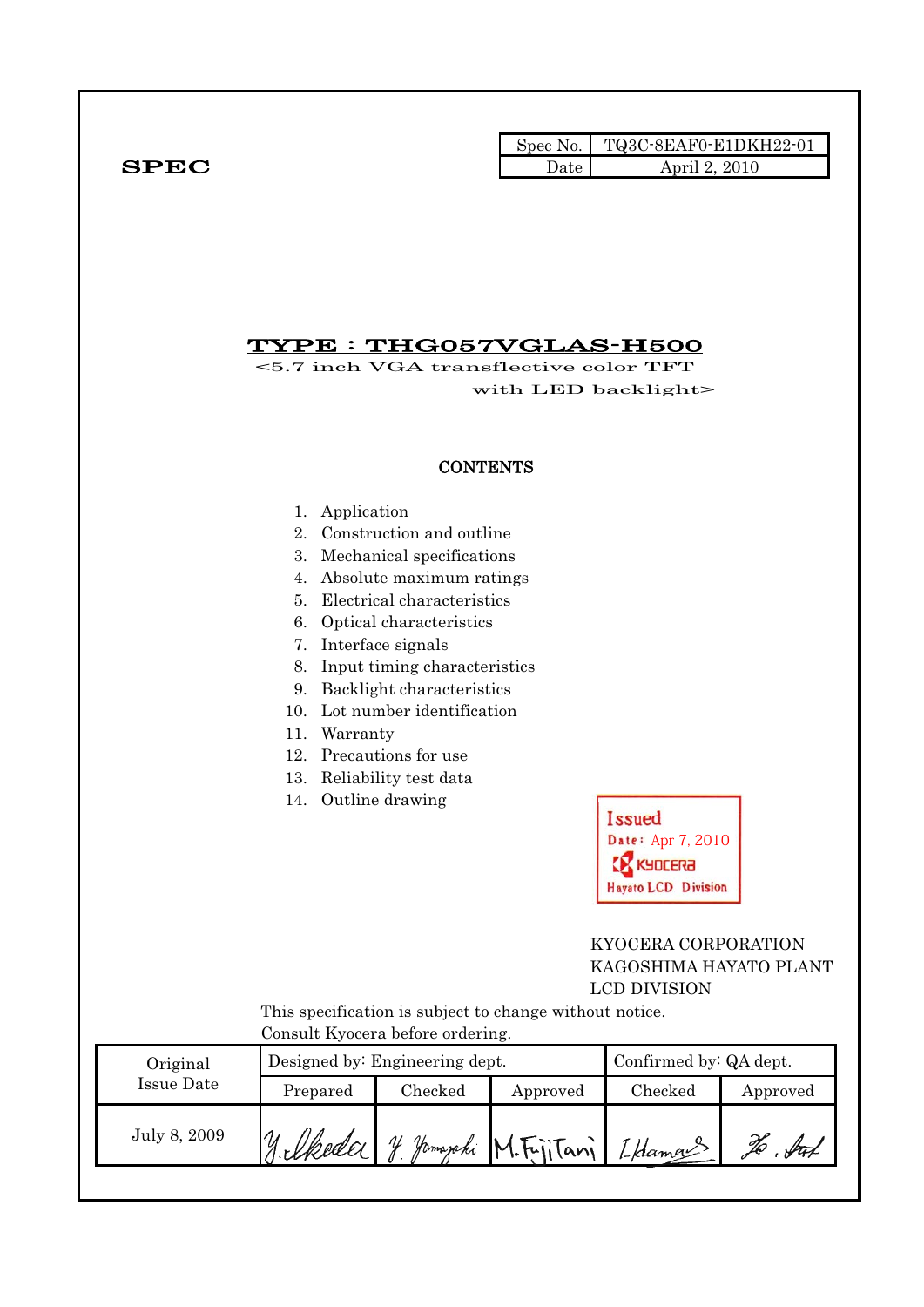|              |      | Spec No. TQ3C-8EAF0-E1DKH22-01 |
|--------------|------|--------------------------------|
| ${\bf SPEC}$ | Date | April 2, 2010                  |

# TYPE : THG057VGLAS-H500

<5.7 inch VGA transflective color TFT with LED backlight>

### **CONTENTS**

- 1. Application
- 2. Construction and outline
- 3. Mechanical specifications
- 4. Absolute maximum ratings
- 5. Electrical characteristics
- 6. Optical characteristics
- 7. Interface signals
- 8. Input timing characteristics
- 9. Backlight characteristics
- 10. Lot number identification
- 11. Warranty
- 12. Precautions for use
- 13. Reliability test data
- 14. Outline drawing



### KYOCERA CORPORATION KAGOSHIMA HAYATO PLANT LCD DIVISION

 This specification is subject to change without notice. Consult Kyocera before ordering.

| Original     |          | Designed by: Engineering dept. | Confirmed by: QA dept. |                             |          |
|--------------|----------|--------------------------------|------------------------|-----------------------------|----------|
| Issue Date   | Prepared | Checked                        | Approved               | Checked                     | Approved |
| July 8, 2009 |          | ЛL                             |                        | Homapoki M.Fritani [Hamans' |          |
|              |          |                                |                        |                             |          |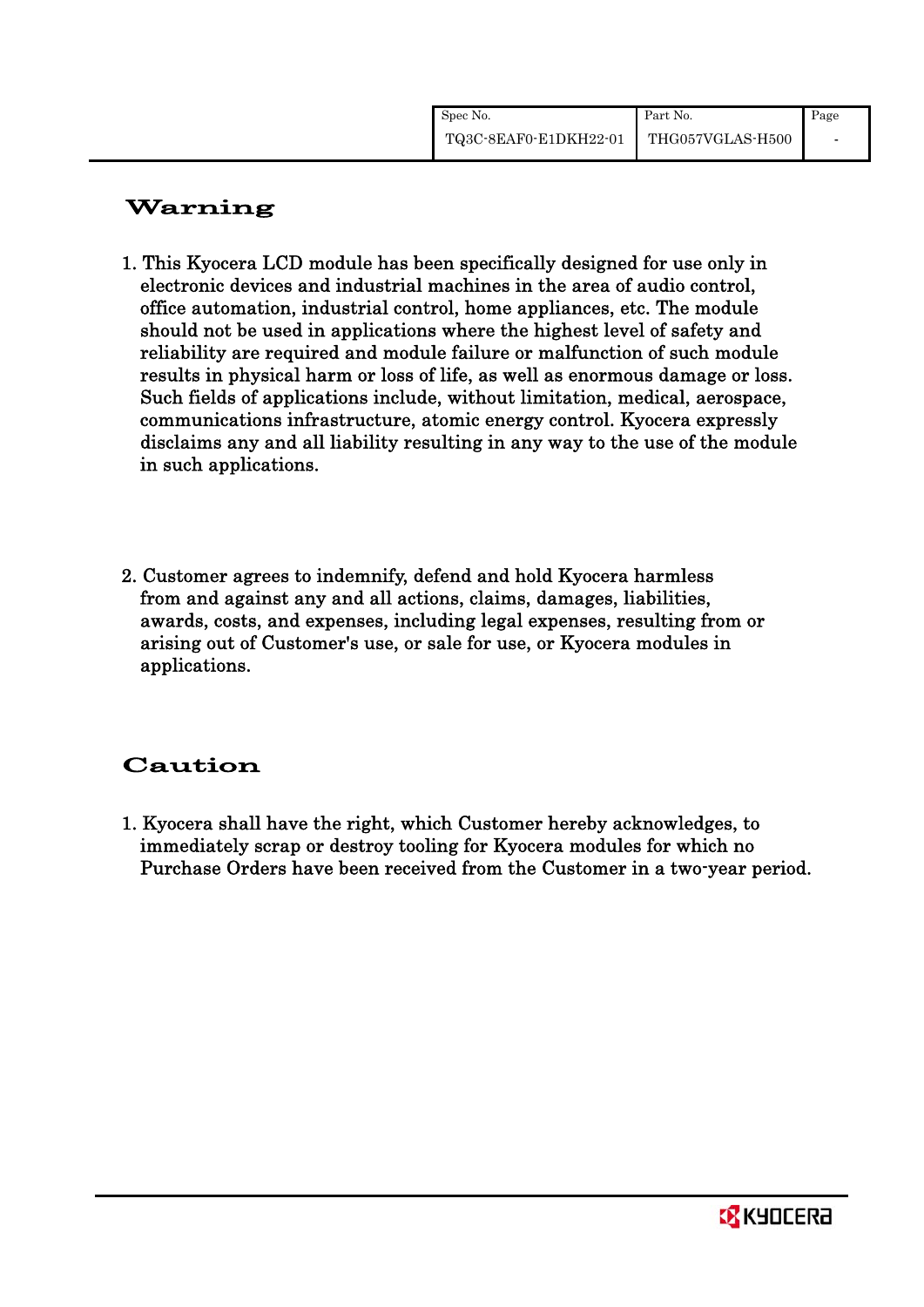| Spec No.                               | Part No. | Page |
|----------------------------------------|----------|------|
| TQ3C-8EAF0-E1DKH22-01 THG057VGLAS-H500 |          |      |

# Warning

- 1. This Kyocera LCD module has been specifically designed for use only in electronic devices and industrial machines in the area of audio control, office automation, industrial control, home appliances, etc. The module should not be used in applications where the highest level of safety and reliability are required and module failure or malfunction of such module results in physical harm or loss of life, as well as enormous damage or loss. Such fields of applications include, without limitation, medical, aerospace, communications infrastructure, atomic energy control. Kyocera expressly disclaims any and all liability resulting in any way to the use of the module in such applications.
- 2. Customer agrees to indemnify, defend and hold Kyocera harmless from and against any and all actions, claims, damages, liabilities, awards, costs, and expenses, including legal expenses, resulting from or arising out of Customer's use, or sale for use, or Kyocera modules in applications.

# Caution

1. Kyocera shall have the right, which Customer hereby acknowledges, to immediately scrap or destroy tooling for Kyocera modules for which no Purchase Orders have been received from the Customer in a two-year period.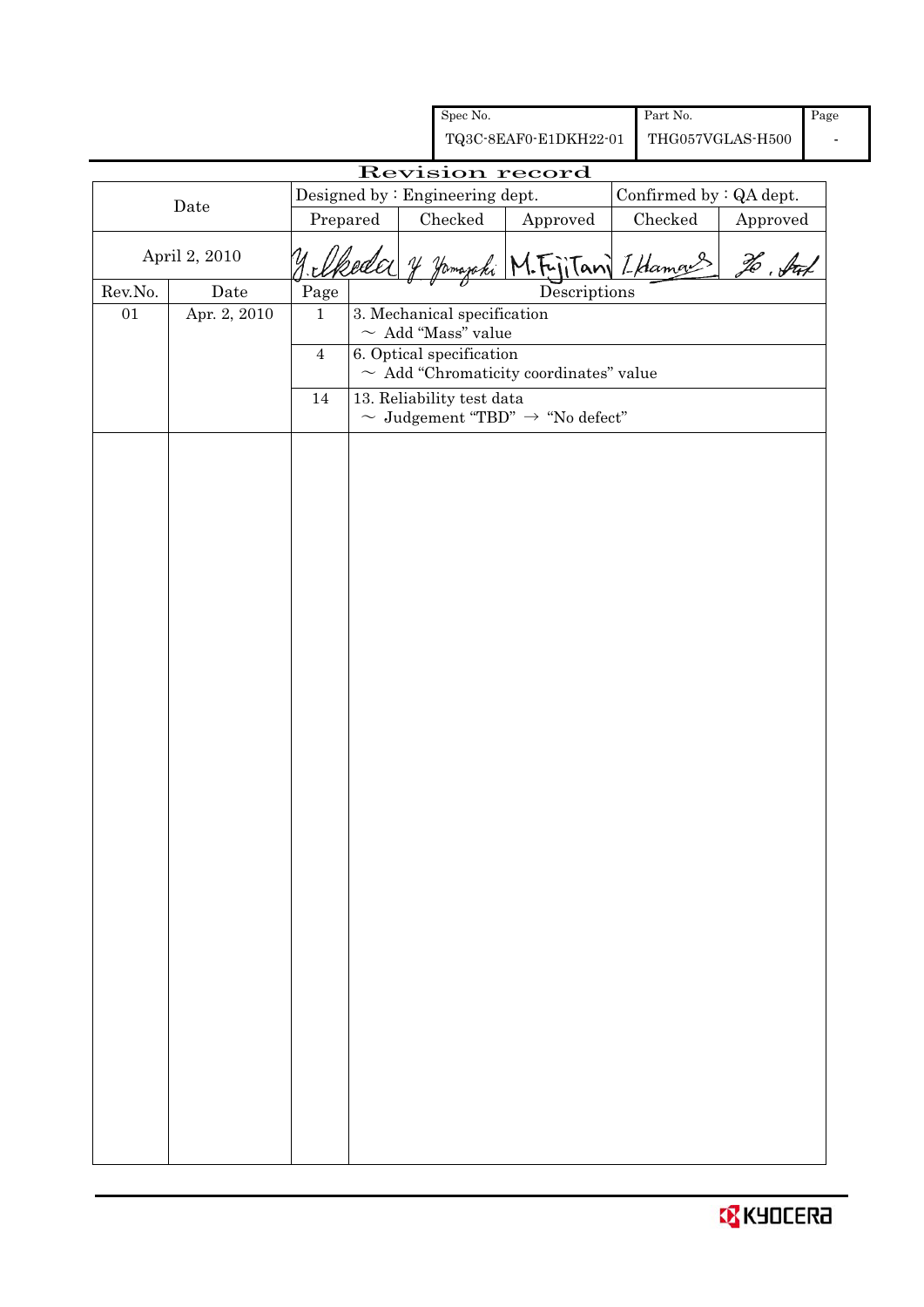|         |                      |                |  | Spec No.                                              |                                                         | Part No.                |                  | Page |
|---------|----------------------|----------------|--|-------------------------------------------------------|---------------------------------------------------------|-------------------------|------------------|------|
|         |                      |                |  |                                                       | TQ3C-8EAF0-E1DKH22-01                                   |                         | THG057VGLAS-H500 |      |
|         |                      |                |  |                                                       | Revision record                                         |                         |                  |      |
|         | Date                 |                |  | Designed by : Engineering dept.                       |                                                         | Confirmed by : QA dept. |                  |      |
|         |                      | Prepared       |  | Checked                                               | Approved                                                | Checked                 | Approved         |      |
|         | April 2, 2010        |                |  |                                                       |                                                         | Fritan LHamang          | To . Sul         |      |
| Rev.No. | $\rm{\textbf{Date}}$ | $\rm Page$     |  |                                                       | Descriptions                                            |                         |                  |      |
| 01      | Apr. 2, 2010         | $\mathbf{1}$   |  | 3. Mechanical specification                           |                                                         |                         |                  |      |
|         |                      | $\overline{4}$ |  | $\sim\,$ Add "Mass" value<br>6. Optical specification |                                                         |                         |                  |      |
|         |                      |                |  |                                                       | $\sim\,$ Add "Chromaticity coordinates" value           |                         |                  |      |
|         |                      | $14\,$         |  | 13. Reliability test data                             |                                                         |                         |                  |      |
|         |                      |                |  |                                                       | $\sim \,$ Judgement "TBD" $\,\rightarrow\,$ "No defect" |                         |                  |      |
|         |                      |                |  |                                                       |                                                         |                         |                  |      |
|         |                      |                |  |                                                       |                                                         |                         |                  |      |
|         |                      |                |  |                                                       |                                                         |                         |                  |      |
|         |                      |                |  |                                                       |                                                         |                         |                  |      |
|         |                      |                |  |                                                       |                                                         |                         |                  |      |
|         |                      |                |  |                                                       |                                                         |                         |                  |      |
|         |                      |                |  |                                                       |                                                         |                         |                  |      |
|         |                      |                |  |                                                       |                                                         |                         |                  |      |
|         |                      |                |  |                                                       |                                                         |                         |                  |      |
|         |                      |                |  |                                                       |                                                         |                         |                  |      |
|         |                      |                |  |                                                       |                                                         |                         |                  |      |
|         |                      |                |  |                                                       |                                                         |                         |                  |      |
|         |                      |                |  |                                                       |                                                         |                         |                  |      |
|         |                      |                |  |                                                       |                                                         |                         |                  |      |
|         |                      |                |  |                                                       |                                                         |                         |                  |      |
|         |                      |                |  |                                                       |                                                         |                         |                  |      |
|         |                      |                |  |                                                       |                                                         |                         |                  |      |
|         |                      |                |  |                                                       |                                                         |                         |                  |      |
|         |                      |                |  |                                                       |                                                         |                         |                  |      |
|         |                      |                |  |                                                       |                                                         |                         |                  |      |
|         |                      |                |  |                                                       |                                                         |                         |                  |      |
|         |                      |                |  |                                                       |                                                         |                         |                  |      |
|         |                      |                |  |                                                       |                                                         |                         |                  |      |
|         |                      |                |  |                                                       |                                                         |                         |                  |      |
|         |                      |                |  |                                                       |                                                         |                         |                  |      |
|         |                      |                |  |                                                       |                                                         |                         |                  |      |
|         |                      |                |  |                                                       |                                                         |                         |                  |      |
|         |                      |                |  |                                                       |                                                         |                         |                  |      |
|         |                      |                |  |                                                       |                                                         |                         |                  |      |
|         |                      |                |  |                                                       |                                                         |                         |                  |      |
|         |                      |                |  |                                                       |                                                         |                         |                  |      |

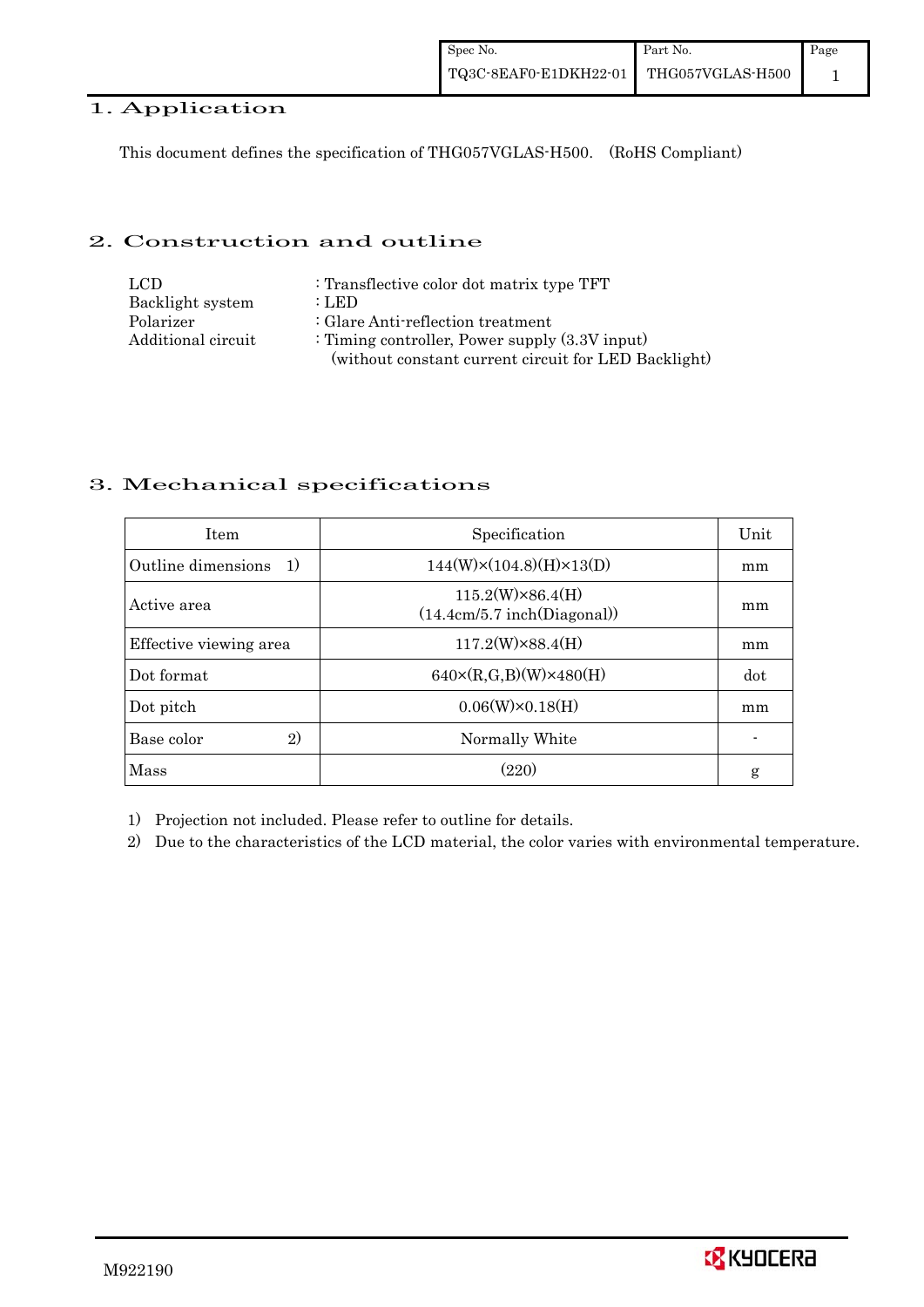### 1. Application

This document defines the specification of THG057VGLAS-H500. (RoHS Compliant)

### 2. Construction and outline

| LCD.               | : Transflective color dot matrix type TFT            |
|--------------------|------------------------------------------------------|
| Backlight system   | : LED                                                |
| Polarizer          | : Glare Anti-reflection treatment                    |
| Additional circuit | : Timing controller, Power supply $(3.3V)$ input)    |
|                    | (without constant current circuit for LED Backlight) |

### 3. Mechanical specifications

| <b>Item</b>                | Specification                                          | Unit |
|----------------------------|--------------------------------------------------------|------|
| Outline dimensions<br>- 1) | $144(W)\times(104.8)(H)\times13(D)$                    | mm   |
| Active area                | $115.2(W)\times86.4(H)$<br>(14.4cm/5.7 inch(Diagonal)) | mm   |
| Effective viewing area     | $117.2(W)\times88.4(H)$                                | mm   |
| Dot format                 | $640 \times (R, G, B)(W) \times 480(H)$                | dot  |
| Dot pitch                  | $0.06(W)\times0.18(H)$                                 | mm   |
| 2)<br>Base color           | Normally White                                         |      |
| Mass                       | (220)                                                  | g    |

1) Projection not included. Please refer to outline for details.

2) Due to the characteristics of the LCD material, the color varies with environmental temperature.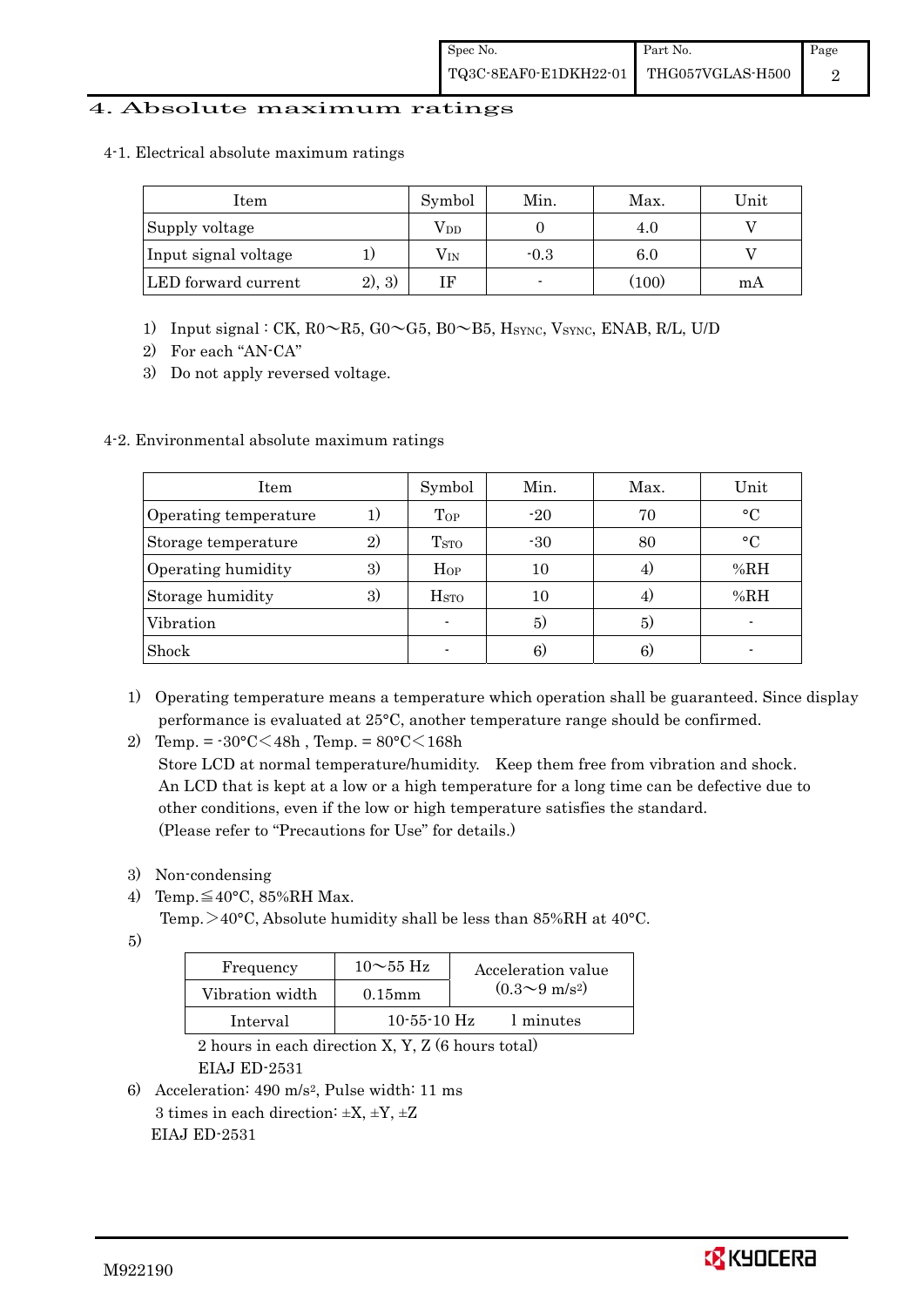### 4. Absolute maximum ratings

4-1. Electrical absolute maximum ratings

| Item                 |         | Symbol       | Min.   | Max.  | Unit |
|----------------------|---------|--------------|--------|-------|------|
| Supply voltage       |         | $\rm V_{DD}$ |        | 4.U   |      |
| Input signal voltage |         | $\rm V_{IN}$ | $-0.3$ | 6.0   |      |
| LED forward current  | (2), 3) |              |        | (100) | mA   |

- 1) Input signal : CK, R0~R5, G0~G5, B0~B5, HSYNC, VSYNC, ENAB, R/L, U/D
- 2) For each "AN-CA"
- 3) Do not apply reversed voltage.

### 4-2. Environmental absolute maximum ratings

| Item                  |    | Symbol             | Min.  | Max. | Unit        |
|-----------------------|----|--------------------|-------|------|-------------|
| Operating temperature | 1) | Top                | $-20$ | 70   | $\circ$ C   |
| Storage temperature   | 2) | T <sub>STO</sub>   | $-30$ | 80   | $^{\circ}C$ |
| Operating humidity    | 3) | $H_{OP}$           | 10    |      | %RH         |
| Storage humidity      | 3) | $_{\mathrm{HSTO}}$ | 10    | 4.   | %RH         |
| Vibration             |    |                    | 5)    | 5)   |             |
| Shock                 |    |                    | 6)    | 6)   |             |

- 1) Operating temperature means a temperature which operation shall be guaranteed. Since display performance is evaluated at 25°C, another temperature range should be confirmed.
- 2) Temp. =  $-30^{\circ}$ C $<$ 48h, Temp. =  $80^{\circ}$ C $<$ 168h

 Store LCD at normal temperature/humidity. Keep them free from vibration and shock. An LCD that is kept at a low or a high temperature for a long time can be defective due to other conditions, even if the low or high temperature satisfies the standard. (Please refer to "Precautions for Use" for details.)

- 3) Non-condensing
- 4) Temp. $\leq 40^{\circ}$ C, 85%RH Max.

Temp.  $>40^{\circ}$ C, Absolute humidity shall be less than 85%RH at 40 $^{\circ}$ C.

5)

| Frequency       | $10\sim 55$ Hz    | Acceleration value           |
|-----------------|-------------------|------------------------------|
| Vibration width | $0.15$ mm         | $(0.3 \sim 9 \text{ m/s}^2)$ |
| Interval        | $10 - 55 - 10$ Hz | 1 minutes                    |

 2 hours in each direction X, Y, Z (6 hours total) EIAJ ED-2531

6) Acceleration: 490 m/s2, Pulse width: 11 ms 3 times in each direction:  $\pm X$ ,  $\pm Y$ ,  $\pm Z$ EIAJ ED-2531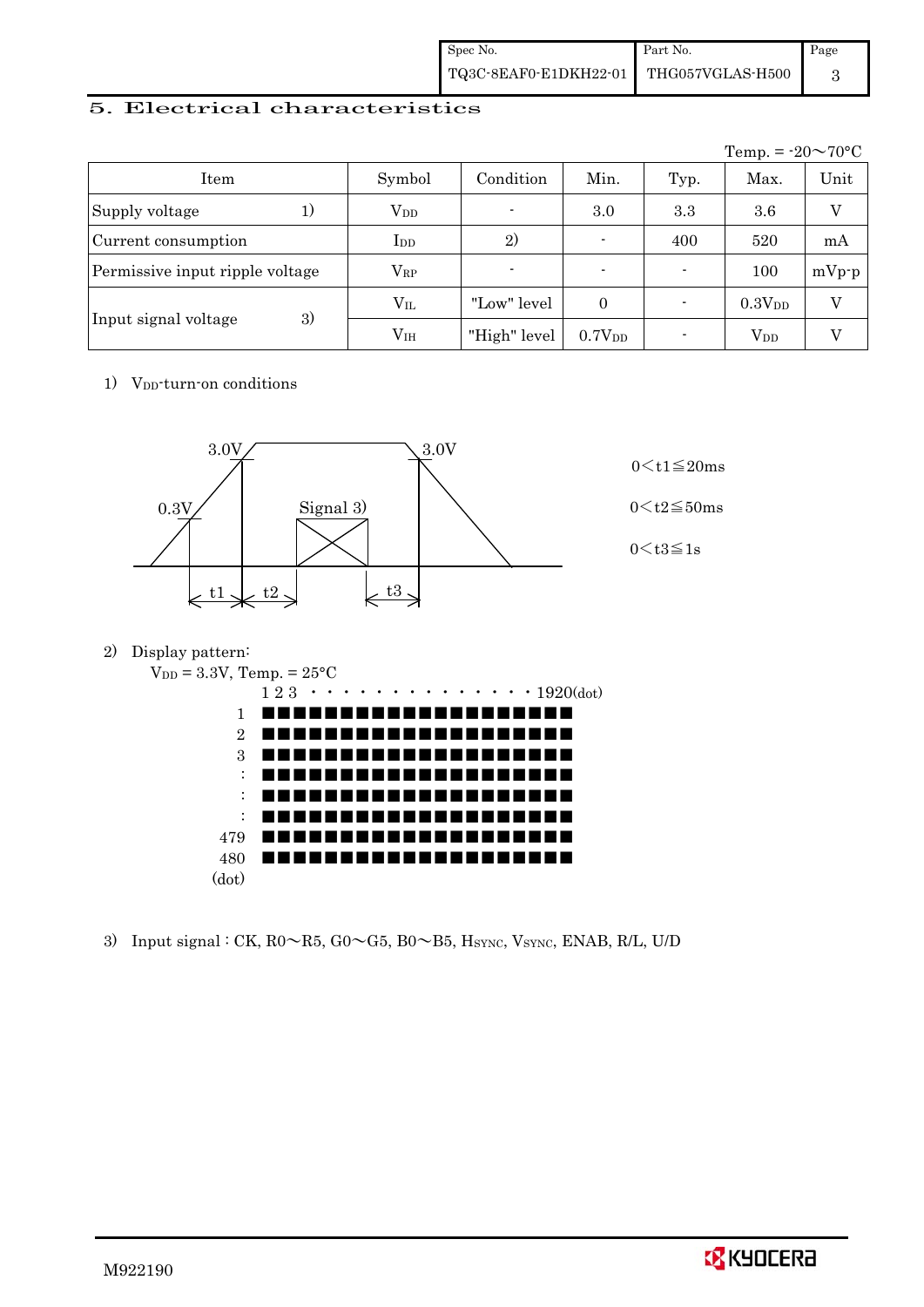| Spec No.              | Part No.         | Page |
|-----------------------|------------------|------|
| TQ3C-8EAF0-E1DKH22-01 | THG057VGLAS-H500 |      |

### 5. Electrical characteristics

|                                 |               |                |                          |      | Temp. = $-20 \sim 70$ °C |         |
|---------------------------------|---------------|----------------|--------------------------|------|--------------------------|---------|
| Item                            | Symbol        | Condition      | Min.                     | Typ. | Max.                     | Unit    |
| Supply voltage<br>1)            | $\rm V_{DD}$  | $\blacksquare$ | 3.0                      | 3.3  | 3.6                      | V       |
| Current consumption             | $_{\rm{LDD}}$ | 2)             | $\overline{\phantom{0}}$ | 400  | 520                      | mA      |
| Permissive input ripple voltage | $\rm V_{RP}$  | $\blacksquare$ | $\blacksquare$           |      | 100                      | $mVp-p$ |
|                                 | $V_{IL}$      | "Low" level    | $\Omega$                 |      | 0.3V <sub>DD</sub>       | V       |
| 3)<br>Input signal voltage      | $\rm V_{IH}$  | "High" level   | 0.7V <sub>DD</sub>       |      | $V_{DD}$                 |         |

1) V<sub>DD</sub>-turn-on conditions



2) Display pattern:



3) Input signal : CK,  $R0 \sim R5$ ,  $G0 \sim G5$ ,  $B0 \sim B5$ ,  $H_{\text{SYNC}}$ ,  $V_{\text{SYNC}}$ ,  $ENAB$ ,  $R/L$ ,  $U/D$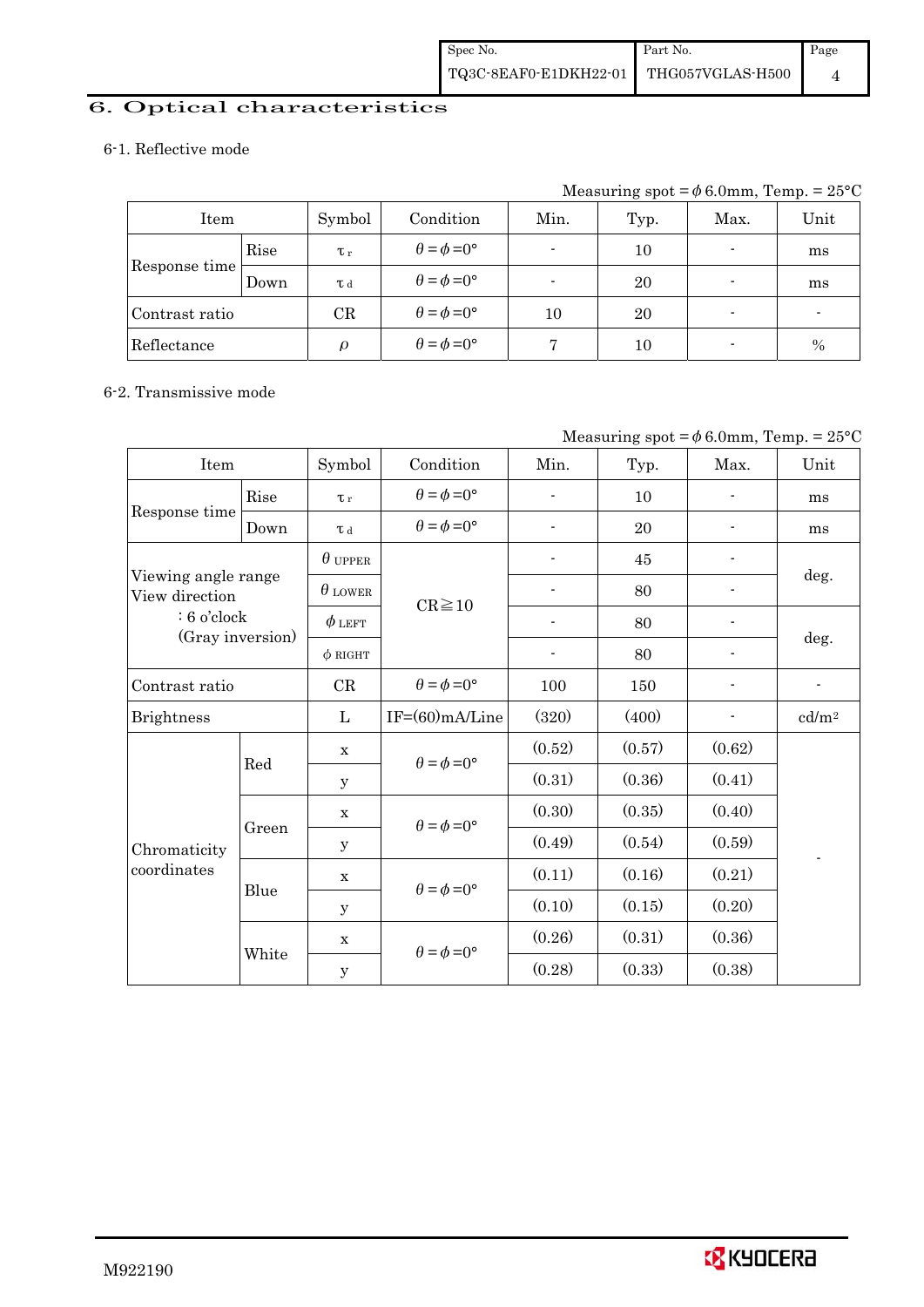# 6. Optical characteristics

### 6-1. Reflective mode

Measuring spot =  $\phi$  6.0mm, Temp. =  $25^{\circ}$ C

| Item           |      | Symbol         | Condition                   | Min.                     | Typ.    | Max. | Unit |
|----------------|------|----------------|-----------------------------|--------------------------|---------|------|------|
|                | Rise | $\tau_r$       | $\theta = \phi = 0^{\circ}$ | $\overline{\phantom{0}}$ | 10      |      | ms   |
| Response time  | Down | T <sub>d</sub> | $\theta = \phi = 0^{\circ}$ |                          | 20      |      | ms   |
| Contrast ratio |      | CR             | $\theta = \phi = 0^{\circ}$ | 10                       | 20      |      |      |
| Reflectance    |      | ρ              | $\theta = \phi = 0^{\circ}$ |                          | $_{10}$ |      | $\%$ |

#### 6-2. Transmissive mode

|  |  | Measuring spot = $\phi$ 6.0mm, Temp. = 25°C |  |  |
|--|--|---------------------------------------------|--|--|
|  |  |                                             |  |  |

| Item                                  |       | Symbol         | Condition                   | Min.                     | Typ.   | Max.   | Unit              |
|---------------------------------------|-------|----------------|-----------------------------|--------------------------|--------|--------|-------------------|
|                                       | Rise  | $\tau_r$       | $\theta = \phi = 0^{\circ}$ |                          | 10     |        | ms                |
| Response time                         | Down  | T d            | $\theta = \phi = 0^{\circ}$ | $\blacksquare$           | 20     |        | ms                |
|                                       |       | $\theta$ upper |                             |                          | 45     |        |                   |
| Viewing angle range<br>View direction |       | $\theta$ LOWER | $CR \ge 10$                 |                          | 80     |        | deg.              |
| $: 6$ o'clock                         |       | $\phi$ left    |                             |                          | 80     |        |                   |
| (Gray inversion)                      |       | $\phi$ RIGHT   |                             | $\overline{\phantom{a}}$ | 80     |        | deg.              |
| Contrast ratio                        |       | CR             | $\theta = \phi = 0^{\circ}$ | 100                      | 150    |        | $\overline{a}$    |
| <b>Brightness</b>                     |       | L              | $IF=(60)mA/Line$            | (320)                    | (400)  |        | cd/m <sup>2</sup> |
|                                       |       | $\mathbf X$    | $\theta = \phi = 0^{\circ}$ | (0.52)                   | (0.57) | (0.62) |                   |
|                                       | Red   | y              |                             | (0.31)                   | (0.36) | (0.41) |                   |
|                                       |       | $\mathbf X$    | $\theta = \phi = 0^{\circ}$ | (0.30)                   | (0.35) | (0.40) |                   |
| Chromaticity                          | Green | $\mathbf{y}$   |                             | (0.49)                   | (0.54) | (0.59) |                   |
| coordinates                           |       | $\mathbf X$    | $\theta = \phi = 0^{\circ}$ | (0.11)                   | (0.16) | (0.21) |                   |
|                                       | Blue  | y              |                             | (0.10)                   | (0.15) | (0.20) |                   |
|                                       |       | X              | $\theta = \phi = 0^{\circ}$ | (0.26)                   | (0.31) | (0.36) |                   |
|                                       | White | $\mathbf y$    |                             | (0.28)                   | (0.33) | (0.38) |                   |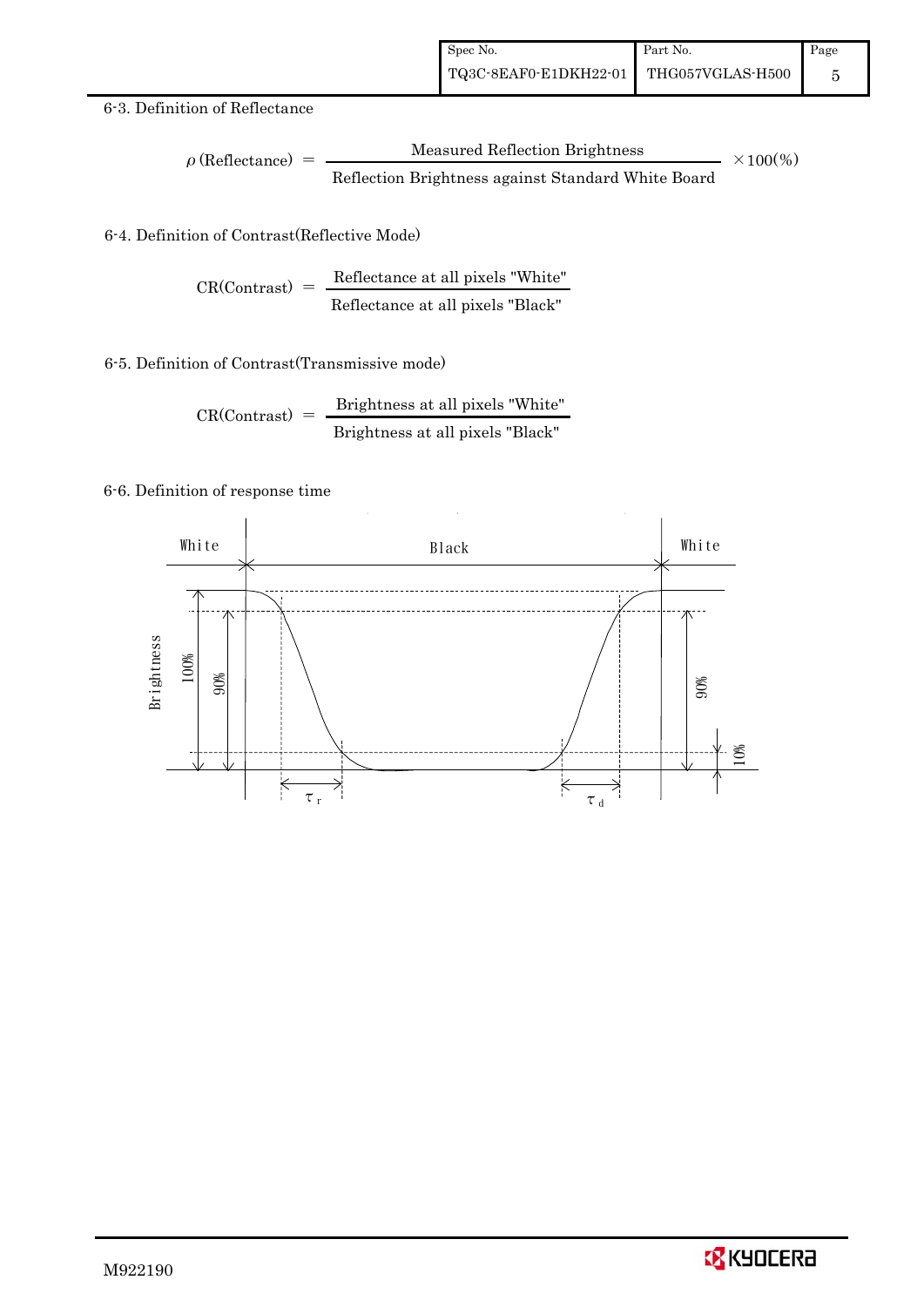### 6-3. Definition of Reflectance

$$
\rho \text{ (Reflectance)} = \frac{\text{Measured Reflection Brightness}}{\text{Reflection Brightness against Standard White Board}}
$$
 × 100%

### 6-4. Definition of Contrast(Reflective Mode)

$$
CR(Contrast) = \frac{Reference at all pixels "White" } {Reference at all pixels "Black" }
$$

### 6-5. Definition of Contrast(Transmissive mode)

$$
CR(Contrast) = \frac{Brightness \text{ at all pixels "White"}}{Brightness \text{ at all pixels "Black"}}
$$

### 6-6. Definition of response time



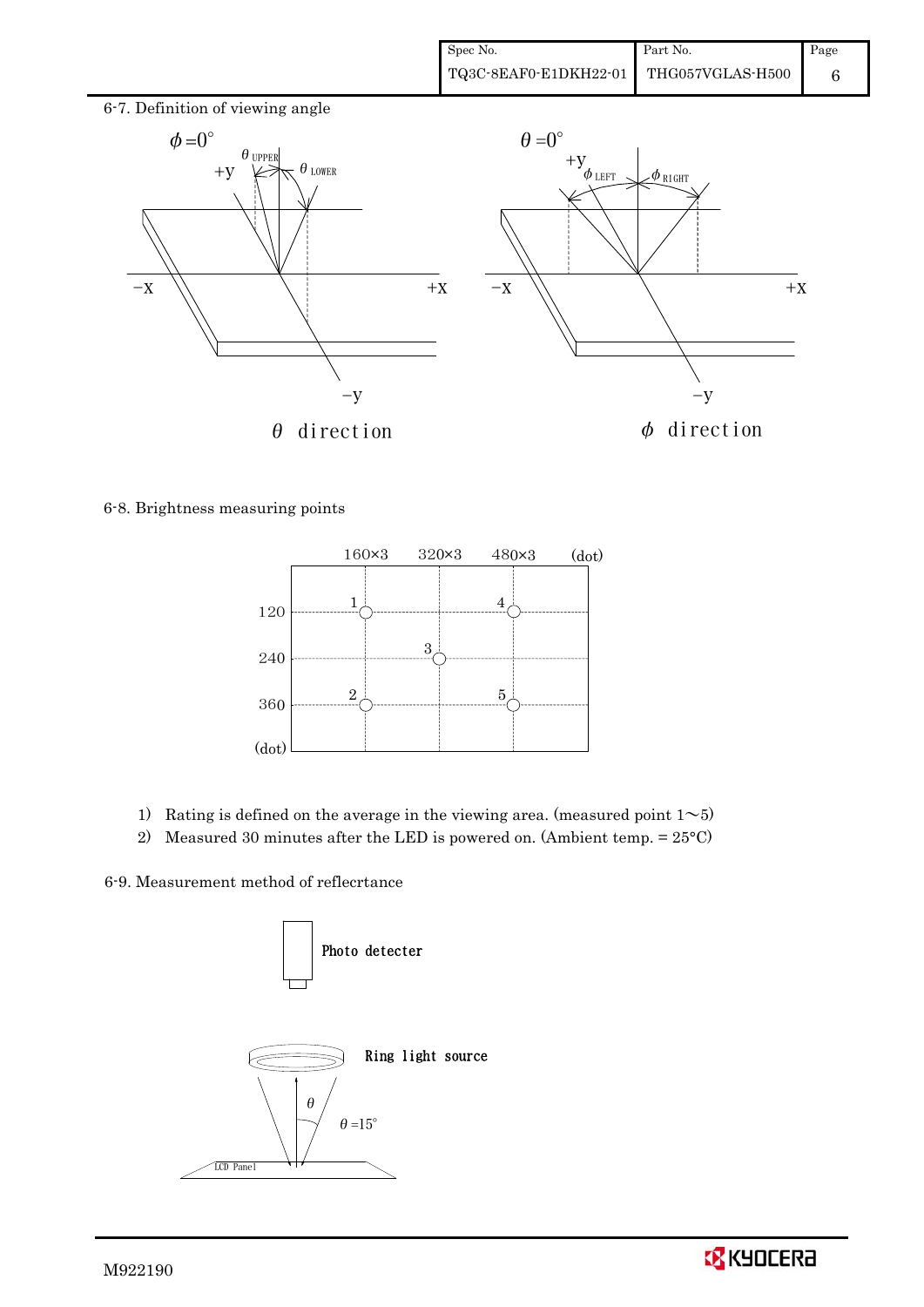

6-8. Brightness measuring points



- 1) Rating is defined on the average in the viewing area. (measured point  $1~$
- 2) Measured 30 minutes after the LED is powered on. (Ambient temp.  $= 25^{\circ}$ C)

6-9. Measurement method of reflecrtance



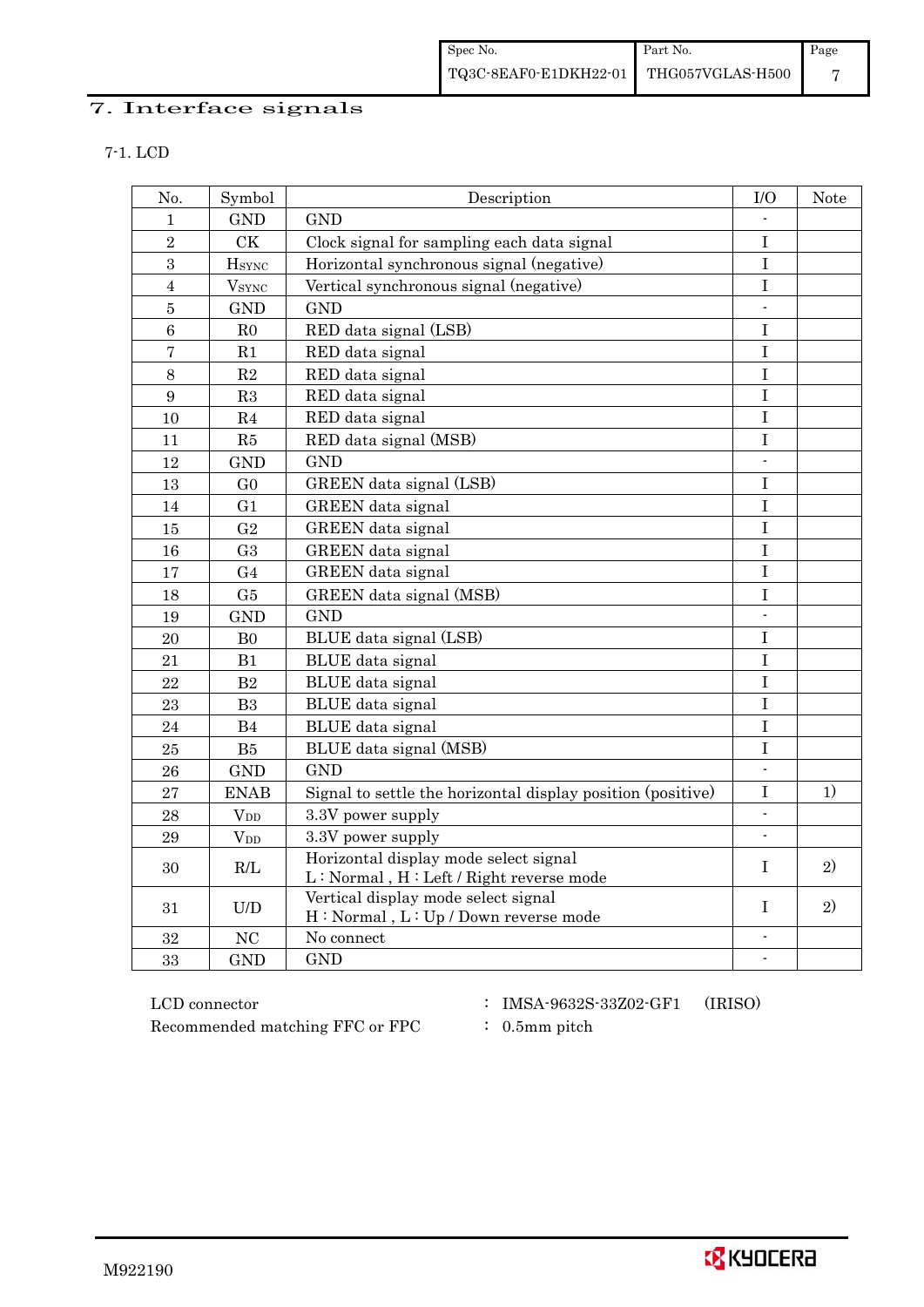# 7. Interface signals

| No.            | Symbol                   | Description                                                                      | I/O                      | Note         |
|----------------|--------------------------|----------------------------------------------------------------------------------|--------------------------|--------------|
| 1              | <b>GND</b>               | <b>GND</b>                                                                       |                          |              |
| $\overline{2}$ | CK                       | Clock signal for sampling each data signal                                       | $\rm I$                  |              |
| $\sqrt{3}$     | <b>H</b> <sub>SYNC</sub> | Horizontal synchronous signal (negative)                                         | $\mathbf I$              |              |
| $\overline{4}$ | <b>V</b> <sub>SYNC</sub> | Vertical synchronous signal (negative)                                           | $\mathbf I$              |              |
| $\overline{5}$ | <b>GND</b>               | <b>GND</b>                                                                       | $\overline{\phantom{a}}$ |              |
| $\overline{6}$ | R <sub>0</sub>           | RED data signal (LSB)                                                            | I                        |              |
| $\overline{7}$ | R1                       | RED data signal                                                                  | $\bf I$                  |              |
| $8\,$          | $\mathbf{R}2$            | RED data signal                                                                  | $\bf I$                  |              |
| 9              | R3                       | RED data signal                                                                  | $\mathbf I$              |              |
| 10             | R4                       | RED data signal                                                                  | $\overline{I}$           |              |
| 11             | R5                       | RED data signal (MSB)                                                            | $\bf I$                  |              |
| 12             | <b>GND</b>               | <b>GND</b>                                                                       | $\overline{\phantom{a}}$ |              |
| 13             | G <sub>0</sub>           | GREEN data signal (LSB)                                                          | $\bf I$                  |              |
| 14             | G <sub>1</sub>           | <b>GREEN</b> data signal                                                         | $\bf I$                  |              |
| 15             | G <sub>2</sub>           | GREEN data signal                                                                | $\mathbf I$              |              |
| 16             | G <sub>3</sub>           | GREEN data signal                                                                | I                        |              |
| 17             | G <sub>4</sub>           | <b>GREEN</b> data signal                                                         | I                        |              |
| 18             | G5                       | GREEN data signal (MSB)                                                          | I                        |              |
| 19             | <b>GND</b>               | <b>GND</b>                                                                       |                          |              |
| 20             | B <sub>0</sub>           | BLUE data signal (LSB)                                                           | I                        |              |
| 21             | B1                       | BLUE data signal                                                                 | I                        |              |
| 22             | B <sub>2</sub>           | BLUE data signal                                                                 | $\mathbf I$              |              |
| 23             | B <sub>3</sub>           | BLUE data signal                                                                 | $\bf I$                  |              |
| 24             | B4                       | BLUE data signal                                                                 | I                        |              |
| 25             | B5                       | BLUE data signal (MSB)                                                           | $\mathbf I$              |              |
| 26             | <b>GND</b>               | <b>GND</b>                                                                       | $\overline{\phantom{a}}$ |              |
| 27             | <b>ENAB</b>              | Signal to settle the horizontal display position (positive)                      | $\bf I$                  | 1)           |
| 28             | $V_{DD}$                 | 3.3V power supply                                                                | $\overline{a}$           |              |
| 29             | $V_{DD}$                 | 3.3V power supply                                                                | $\overline{\phantom{a}}$ |              |
| 30             | R/L                      | Horizontal display mode select signal<br>L: Normal, H: Left / Right reverse mode | $\mathbf{I}$             | $\mathbf{2}$ |
| 31             | U/D                      | Vertical display mode select signal<br>H: Normal, L: Up / Down reverse mode      | T                        | 2)           |
| 32             | NC                       | No connect                                                                       | $\overline{\phantom{a}}$ |              |
| 33             | <b>GND</b>               | <b>GND</b>                                                                       | $\overline{\phantom{a}}$ |              |

 LCD connector : IMSA-9632S-33Z02-GF1 (IRISO) Recommended matching FFC or FPC : 0.5mm pitch

- 
-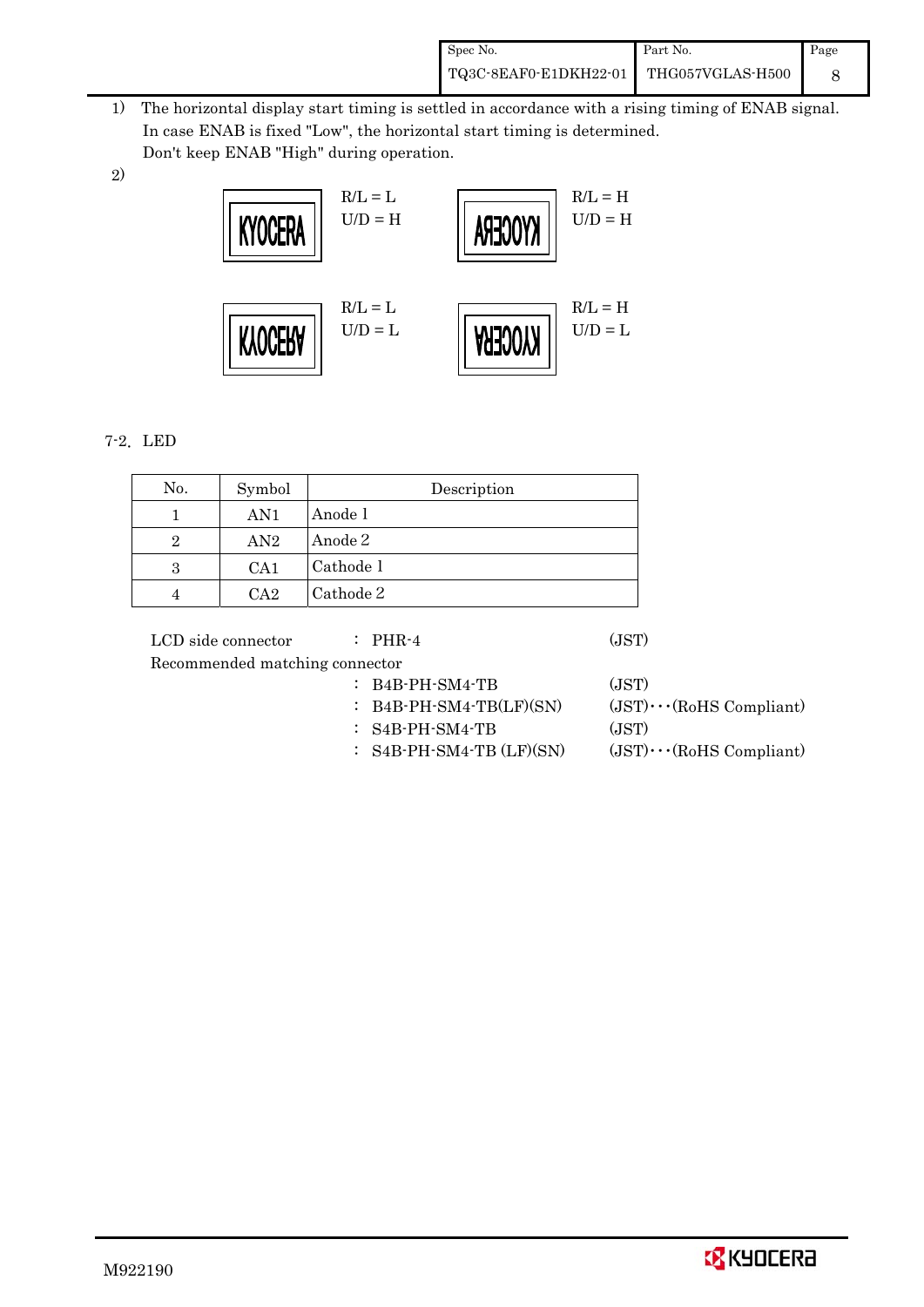| Spec No.              | Part No.         | Page |
|-----------------------|------------------|------|
| TQ3C-8EAF0-E1DKH22-01 | THG057VGLAS-H500 |      |

- 1) The horizontal display start timing is settled in accordance with a rising timing of ENAB signal. In case ENAB is fixed "Low", the horizontal start timing is determined. Don't keep ENAB "High" during operation.
- 2)



### 7-2.LED

| No.            | Symbol | Description |
|----------------|--------|-------------|
|                | AN1    | Anode 1     |
| $\overline{2}$ | AN2    | Anode 2     |
| 3              | CA1    | Cathode 1   |
|                | CA2    | Cathode 2   |

LCD side connector : PHR-4 (JST) Recommended matching connector : B4B-PH-SM4-TB (JST) : B4B-PH-SM4-TB(LF)(SN)  $(JST)\cdots (R \text{oHS} \text{ Compliant})$ : S4B-PH-SM4-TB (JST)

:  $S4B-PH-SM4-TB (LF)(SN)$  (JST) $\cdots$ (RoHS Compliant)

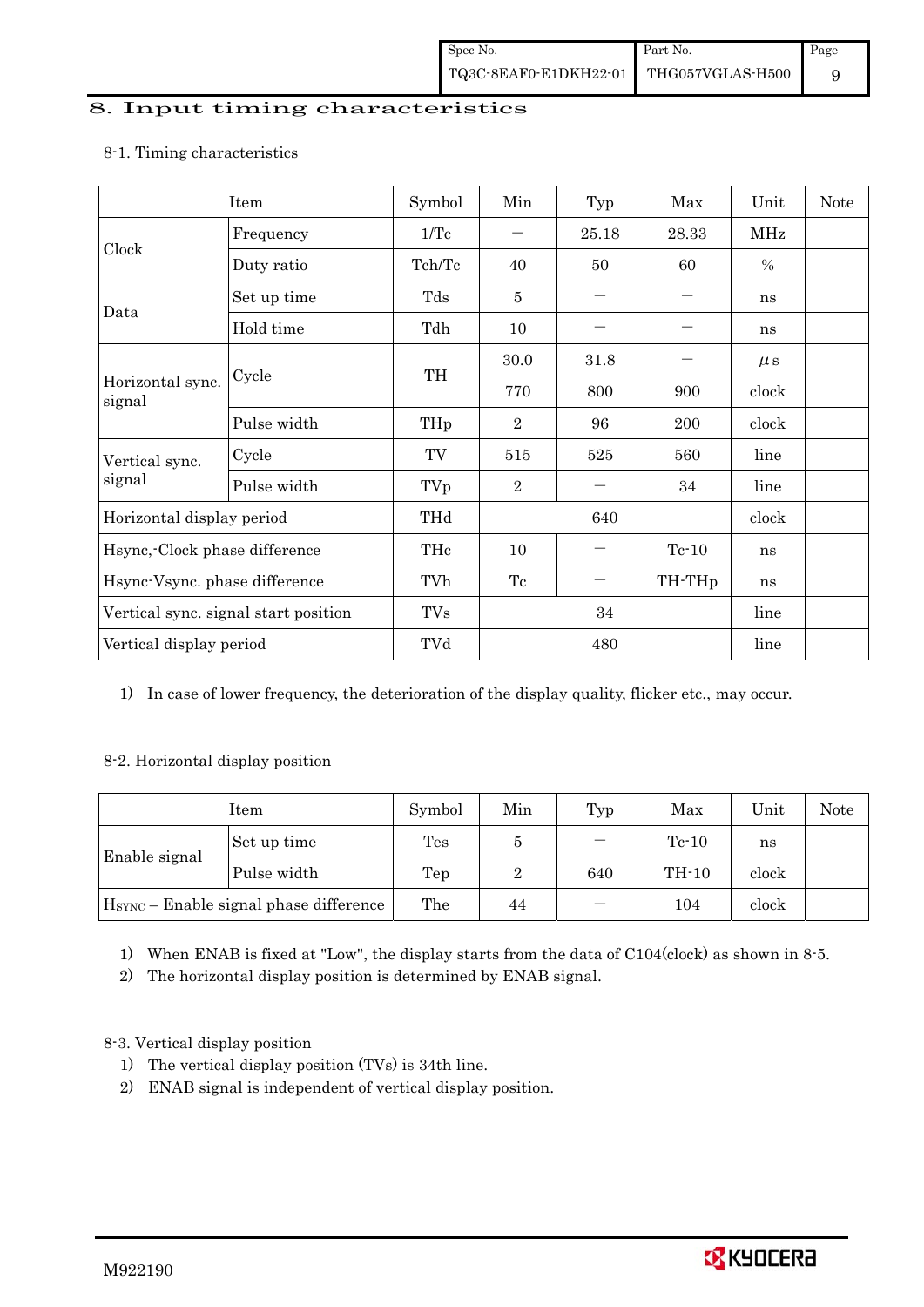## 8. Input timing characteristics

# Item Symbol Min Typ Max Unit Note Frequency 1/Tc  $-$  25.18 28.33 MHz Clock Duty ratio  $\begin{array}{|c|c|c|c|c|c|c|c|c|} \hline \end{array}$  Tch/Tc  $\begin{array}{|c|c|c|c|c|c|c|} \hline \end{array}$  60  $\begin{array}{|c|c|c|c|c|c|} \hline \end{array}$  % Set up time Tds 5 - - ns Data Hold time Tdh 10 - - ns  $30.0$   $31.8$   $\mu s$ Cycle TH Horizontal sync. Cycle TH 770 800 900 clock signal Pulse width  $THp \mid 2 \mid 96 \mid 200 \mid clock$ Cycle TV 515 525 560 line Vertical sync. signal Pulse width TVp 2 - 34 line Horizontal display period THd 640 640 clock Hsync,-Clock phase difference  $\vert$  THc  $\vert$  10  $\vert$  - Tc-10  $\vert$  ns Hsync-Vsync. phase difference  $\vert$  TVh  $\vert$  Tc  $\vert$  - TH-THp ns Vertical sync. signal start position  $\begin{array}{|c|c|c|c|c|c|c|c|c|} \hline \text{V} & \text{TVs} & 34 & \text{line} \end{array}$  line Vertical display period  $\overline{Y}$  TVd  $\overline{480}$  line

### 8-1. Timing characteristics

1) In case of lower frequency, the deterioration of the display quality, flicker etc., may occur.

### 8-2. Horizontal display position

| Item                                               |             | Symbol         | Min | Typ | Max     | Unit  | Note |
|----------------------------------------------------|-------------|----------------|-----|-----|---------|-------|------|
|                                                    | Set up time | $\mathrm{Tes}$ | Ð   |     | $Tc-10$ | ns    |      |
| Enable signal                                      | Pulse width | Tep            | 2   | 640 | TH-10   | clock |      |
| H <sub>SYNC</sub> - Enable signal phase difference |             | The            | 44  |     | 104     | clock |      |

1) When ENAB is fixed at "Low", the display starts from the data of C104(clock) as shown in 8-5.

2) The horizontal display position is determined by ENAB signal.

### 8-3. Vertical display position

- 1) The vertical display position (TVs) is 34th line.
- 2) ENAB signal is independent of vertical display position.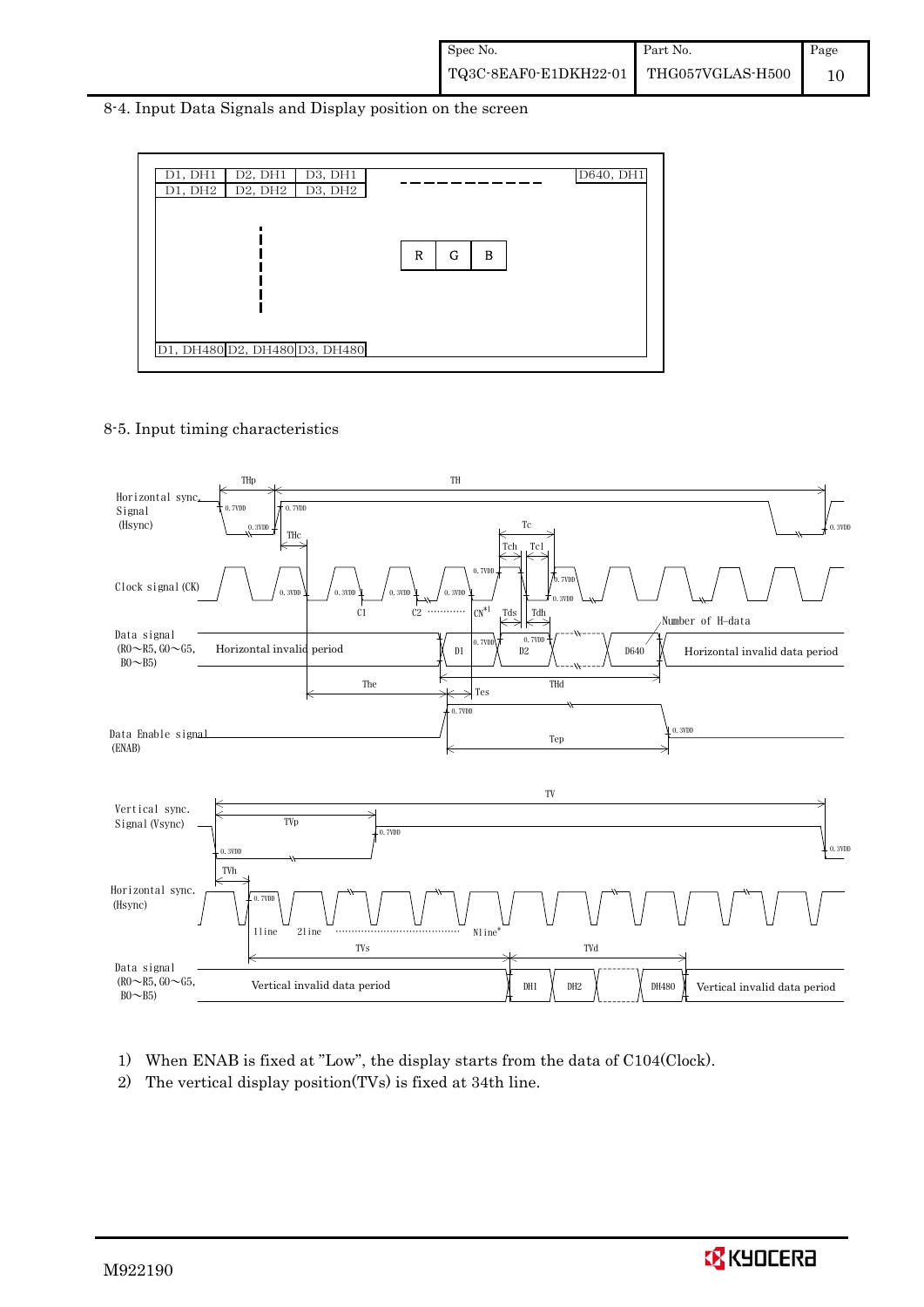#### 8-4. Input Data Signals and Display position on the screen



#### 8-5. Input timing characteristics



- 1) When ENAB is fixed at "Low", the display starts from the data of C104(Clock).
- 2) The vertical display position(TVs) is fixed at 34th line.

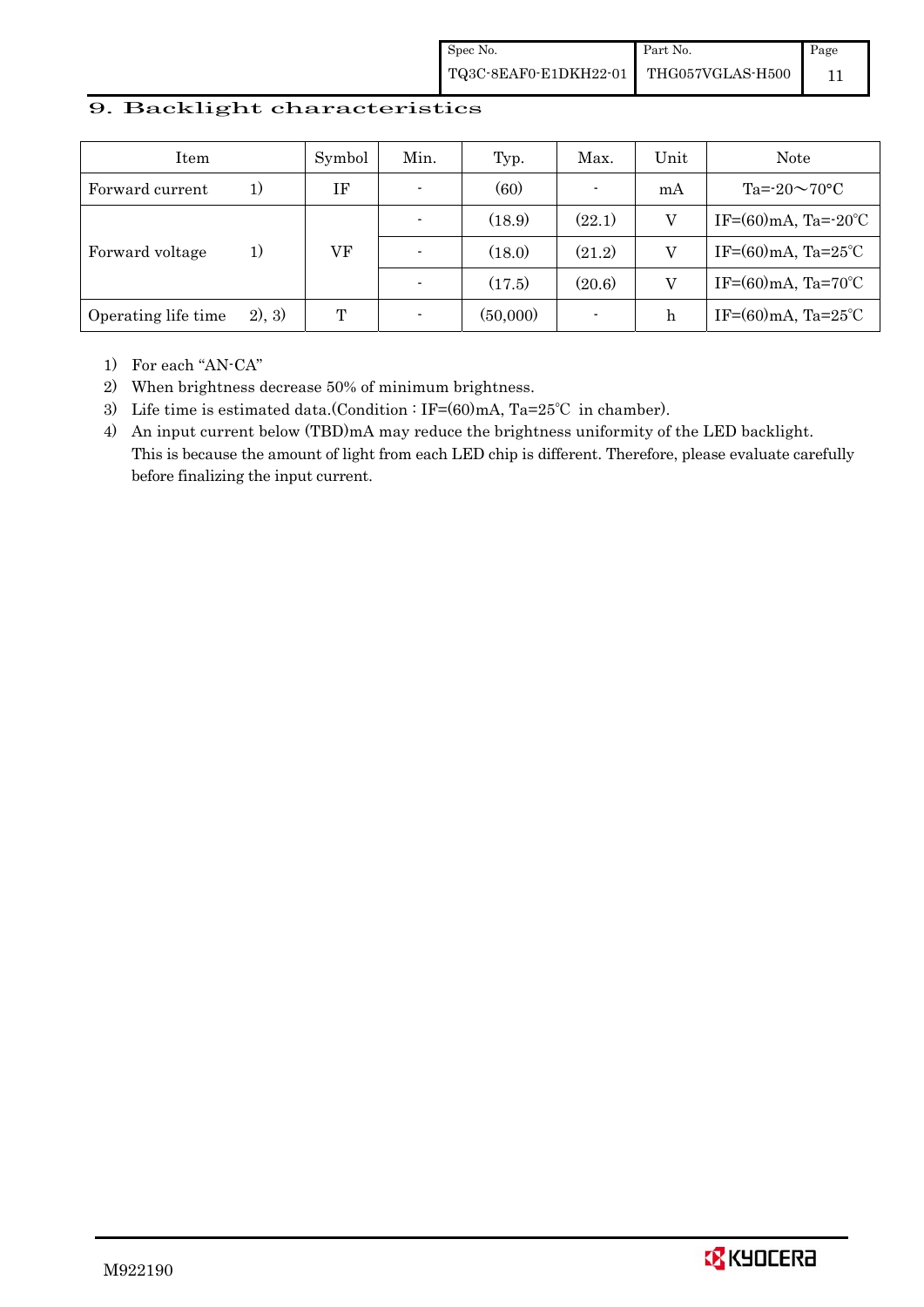### 9. Backlight characteristics

| Item                |        | Symbol | Min.           | Typ.     | Max.           | Unit | Note                               |
|---------------------|--------|--------|----------------|----------|----------------|------|------------------------------------|
| Forward current     | 1)     | ΙF     | $\blacksquare$ | (60)     | $\blacksquare$ | mA   | Ta= $-20\sim70$ °C                 |
|                     |        |        |                | (18.9)   | (22.1)         | V    | IF= $(60)$ mA, Ta= $-20^{\circ}$ C |
| Forward voltage     | 1)     | VF     |                | (18.0)   | (21.2)         | V    | IF= $(60)$ mA, Ta= $25^{\circ}$ C  |
|                     |        |        |                | (17.5)   | (20.6)         | V    | IF= $(60)$ mA, Ta= $70^{\circ}$ C  |
| Operating life time | 2), 3) | T      |                | (50,000) |                | h    | IF= $(60)$ mA, Ta= $25^{\circ}$ C  |

1) For each "AN-CA"

2) When brightness decrease 50% of minimum brightness.

3) Life time is estimated data.(Condition : IF=(60)mA, Ta=25℃ in chamber).

4) An input current below (TBD)mA may reduce the brightness uniformity of the LED backlight. This is because the amount of light from each LED chip is different. Therefore, please evaluate carefully before finalizing the input current.

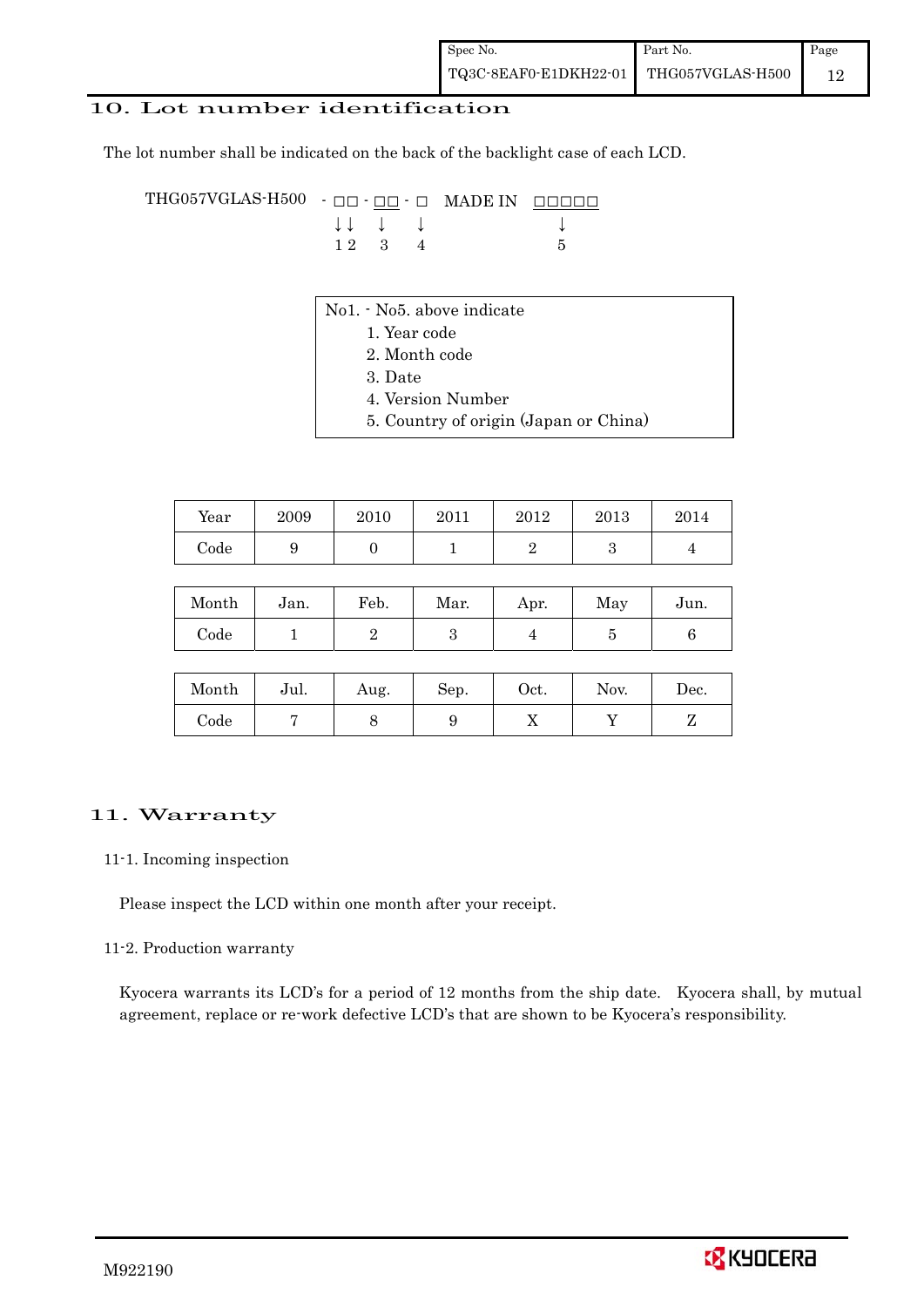### 10. Lot number identification

The lot number shall be indicated on the back of the backlight case of each LCD.

THG057VGLAS-H500 -  $\Box$  $\Box$   $\Box$   $\Box$  MADE IN  $\Box$  $\Box$  $\Box$  $\Box$  $\downarrow \downarrow \quad \downarrow \quad \downarrow \qquad \qquad \downarrow$  $1 \ 2 \ 3 \ 4$  5

- No1. No5. above indicate
	- 1. Year code
		- 2. Month code
		- 3. Date
		- 4. Version Number
	- 5. Country of origin (Japan or China)

| Year | 2009 | 2010 | 2011 | 2012 | 2013 | 2014 |
|------|------|------|------|------|------|------|
| Code |      |      |      |      |      |      |

| Month | Jan. | Feb. | Mar. | Apr. | May | Jun. |
|-------|------|------|------|------|-----|------|
| Code  |      |      |      |      |     |      |

| Month      | Jul. | Aug. | Sep. | Oct. | Nov. | $\operatorname{Dec.}$ |
|------------|------|------|------|------|------|-----------------------|
| $\rm Code$ |      |      |      | ∡⊾   |      |                       |

#### 11. Warranty

#### 11-1. Incoming inspection

Please inspect the LCD within one month after your receipt.

#### 11-2. Production warranty

 Kyocera warrants its LCD's for a period of 12 months from the ship date. Kyocera shall, by mutual agreement, replace or re-work defective LCD's that are shown to be Kyocera's responsibility.

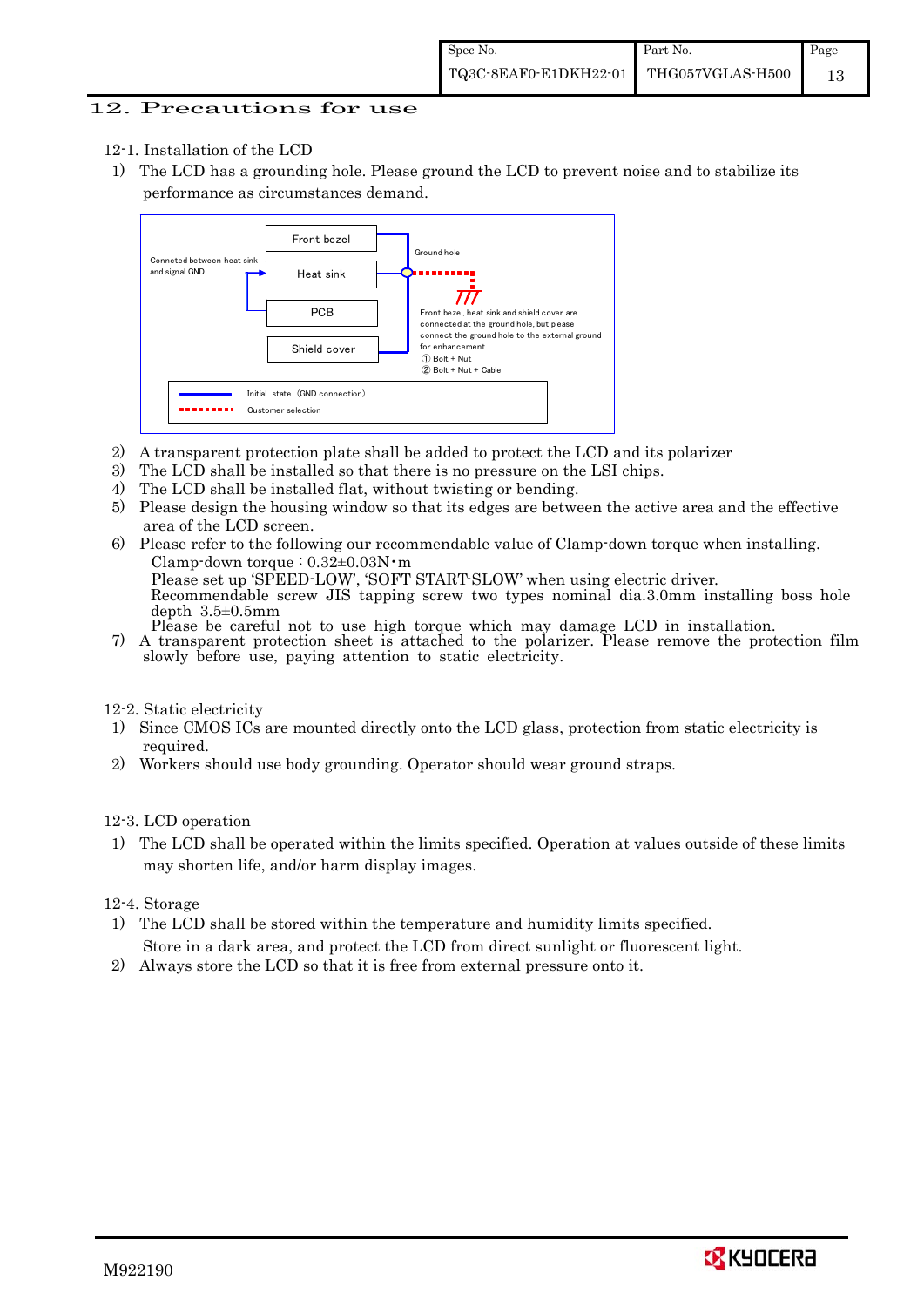### 12. Precautions for use

- 12-1. Installation of the LCD
- 1) The LCD has a grounding hole. Please ground the LCD to prevent noise and to stabilize its performance as circumstances demand.



- 2) A transparent protection plate shall be added to protect the LCD and its polarizer
- 3) The LCD shall be installed so that there is no pressure on the LSI chips.
- 4) The LCD shall be installed flat, without twisting or bending.
- 5) Please design the housing window so that its edges are between the active area and the effective area of the LCD screen.
- 6) Please refer to the following our recommendable value of Clamp-down torque when installing. Clamp-down torque :  $0.32\pm0.03$ N·m

 Please set up 'SPEED-LOW', 'SOFT START-SLOW' when using electric driver. Recommendable screw JIS tapping screw two types nominal dia.3.0mm installing boss hole depth 3.5±0.5mm<br>Please be careful not to use high torque which may damage LCD in installation.

7) A transparent protection sheet is attached to the polarizer. Please remove the protection film slowly before use, paying attention to static electricity.

12-2. Static electricity

- 1) Since CMOS ICs are mounted directly onto the LCD glass, protection from static electricity is required.
- 2) Workers should use body grounding. Operator should wear ground straps.

12-3. LCD operation

1) The LCD shall be operated within the limits specified. Operation at values outside of these limits may shorten life, and/or harm display images.

12-4. Storage

- 1) The LCD shall be stored within the temperature and humidity limits specified. Store in a dark area, and protect the LCD from direct sunlight or fluorescent light.
- 2) Always store the LCD so that it is free from external pressure onto it.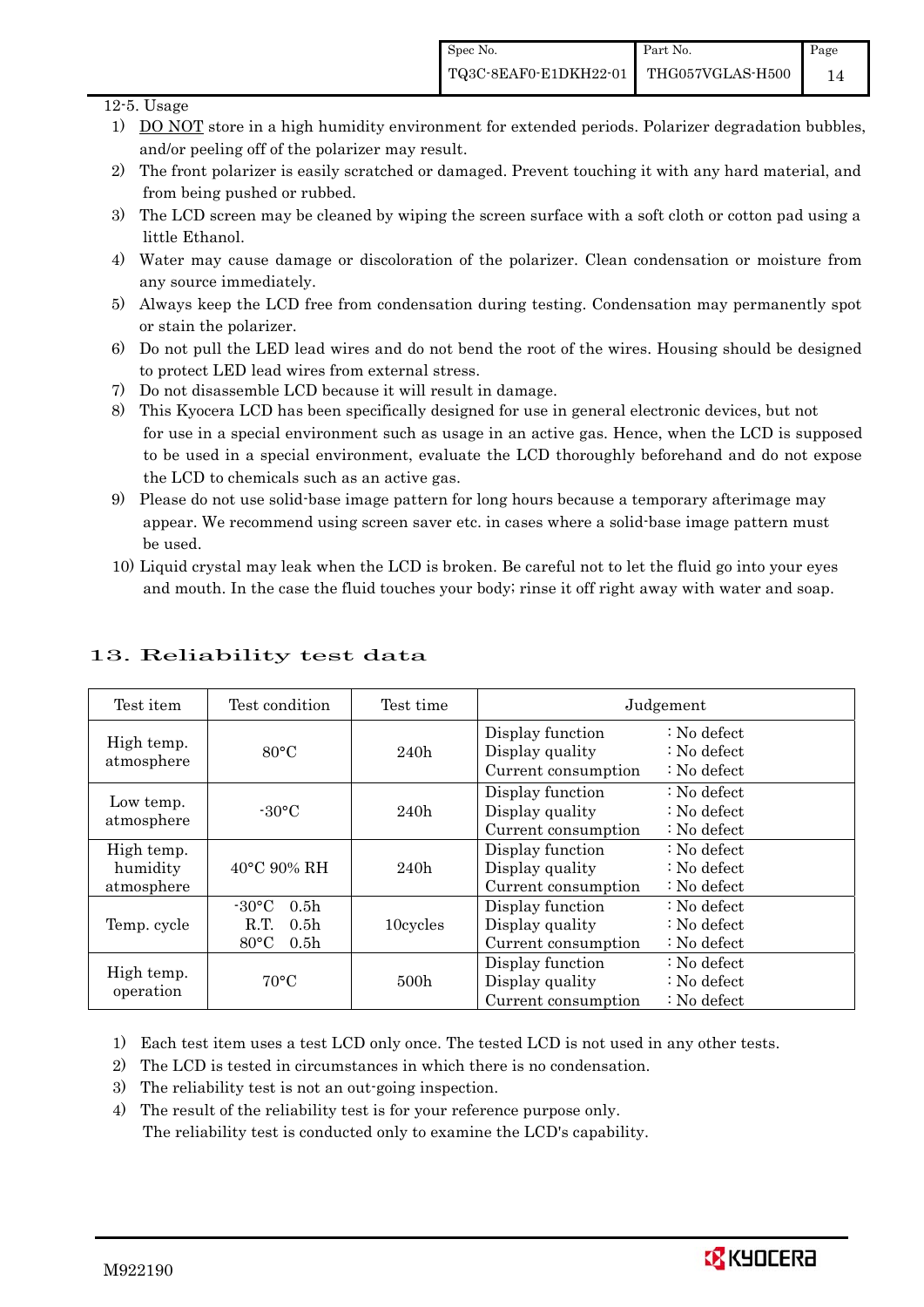### 12-5. Usage

- 1) DO NOT store in a high humidity environment for extended periods. Polarizer degradation bubbles, and/or peeling off of the polarizer may result.
- 2) The front polarizer is easily scratched or damaged. Prevent touching it with any hard material, and from being pushed or rubbed.
- 3) The LCD screen may be cleaned by wiping the screen surface with a soft cloth or cotton pad using a little Ethanol.
- 4) Water may cause damage or discoloration of the polarizer. Clean condensation or moisture from any source immediately.
- 5) Always keep the LCD free from condensation during testing. Condensation may permanently spot or stain the polarizer.
- 6) Do not pull the LED lead wires and do not bend the root of the wires. Housing should be designed to protect LED lead wires from external stress.
- 7) Do not disassemble LCD because it will result in damage.
- 8) This Kyocera LCD has been specifically designed for use in general electronic devices, but not for use in a special environment such as usage in an active gas. Hence, when the LCD is supposed to be used in a special environment, evaluate the LCD thoroughly beforehand and do not expose the LCD to chemicals such as an active gas.
- 9) Please do not use solid-base image pattern for long hours because a temporary afterimage may appear. We recommend using screen saver etc. in cases where a solid-base image pattern must be used.
- 10) Liquid crystal may leak when the LCD is broken. Be careful not to let the fluid go into your eyes and mouth. In the case the fluid touches your body; rinse it off right away with water and soap.

| Test item                            | Test condition                                                                                       | Test time |                                                            | Judgement                                                                  |
|--------------------------------------|------------------------------------------------------------------------------------------------------|-----------|------------------------------------------------------------|----------------------------------------------------------------------------|
| High temp.<br>atmosphere             | $80^{\circ}$ C                                                                                       | 240h      | Display function<br>Display quality<br>Current consumption | $\therefore$ No defect<br>$\therefore$ No defect<br>$\therefore$ No defect |
| Low temp.<br>atmosphere              | $-30^{\circ}$ C                                                                                      | 240h      | Display function<br>Display quality<br>Current consumption | $\therefore$ No defect<br>$\therefore$ No defect<br>$\therefore$ No defect |
| High temp.<br>humidity<br>atmosphere | $40^{\circ}$ C 90% RH                                                                                | 240h      | Display function<br>Display quality<br>Current consumption | : No defect<br>$\therefore$ No defect<br>$: No$ defect                     |
| Temp. cycle                          | $-30\degree C$<br>0.5 <sub>h</sub><br>R.T.<br>0.5 <sub>h</sub><br>$80^{\circ}$ C<br>0.5 <sub>h</sub> | 10cycles  | Display function<br>Display quality<br>Current consumption | $\therefore$ No defect<br>$\therefore$ No defect<br>$\therefore$ No defect |
| High temp.<br>operation              | $70^{\circ}$ C                                                                                       | 500h      | Display function<br>Display quality<br>Current consumption | $\therefore$ No defect<br>$\therefore$ No defect<br>$: No$ defect          |

# 13. Reliability test data

1) Each test item uses a test LCD only once. The tested LCD is not used in any other tests.

- 2) The LCD is tested in circumstances in which there is no condensation.
- 3) The reliability test is not an out-going inspection.
- 4) The result of the reliability test is for your reference purpose only. The reliability test is conducted only to examine the LCD's capability.

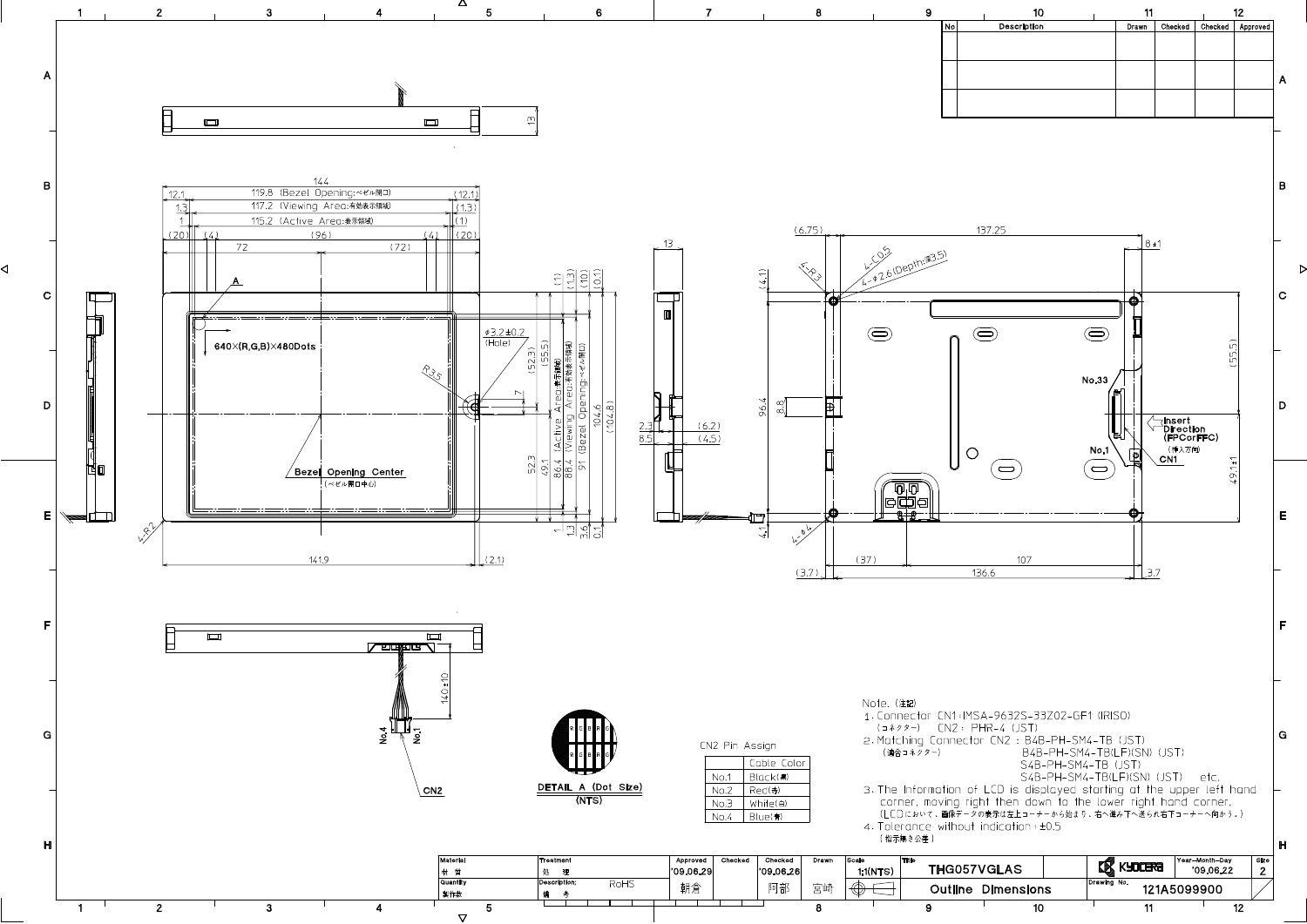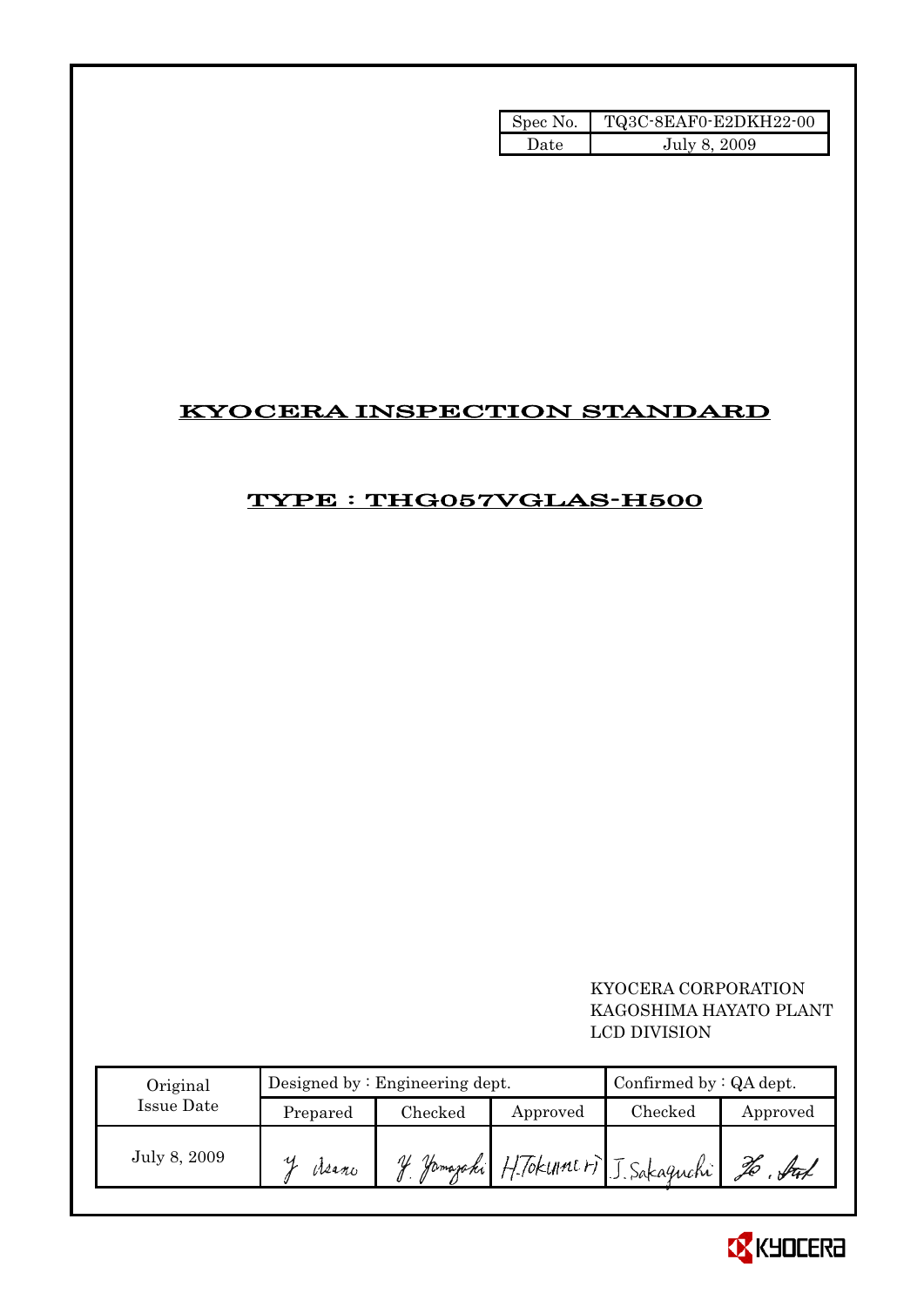| Spec No. | TQ3C-8EAF0-E2DKH22-00 |
|----------|-----------------------|
| Date     | July 8, 2009          |

# KYOCERA INSPECTION STANDARD

# TYPE : THG057VGLAS-H500

## KYOCERA CORPORATION KAGOSHIMA HAYATO PLANT LCD DIVISION

| Original     |          | Designed by $:$ Engineering dept. | Confirmed by $:QA$ dept. |                                      |          |
|--------------|----------|-----------------------------------|--------------------------|--------------------------------------|----------|
| Issue Date   | Prepared | Checked                           | Approved                 | $\rm Checked$                        | Approved |
| July 8, 2009 | Meano    |                                   |                          | If Yamazaki H. Tokune H J. Sakaguchi | X        |

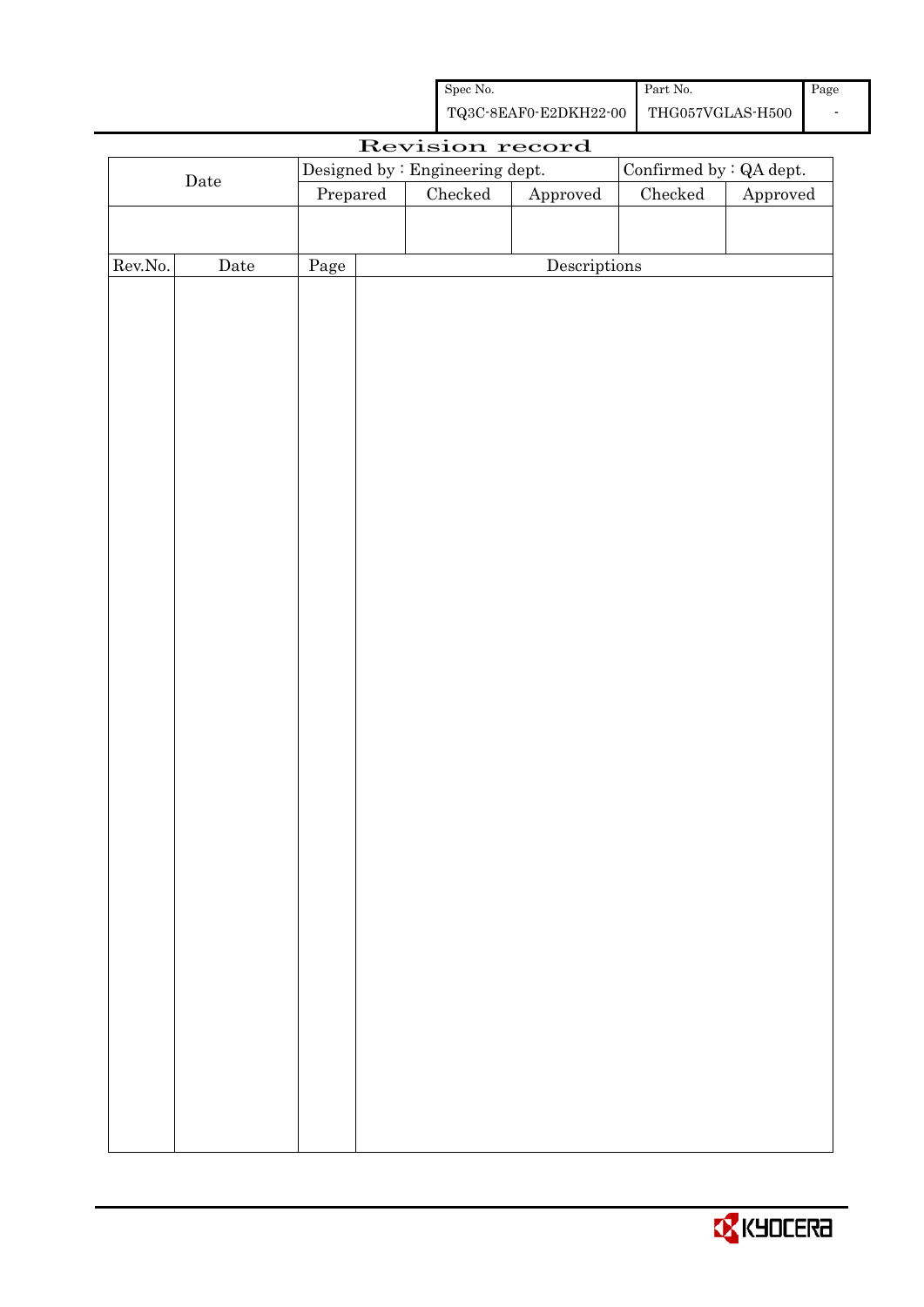| Spec No.              | Part No.         | Page |
|-----------------------|------------------|------|
| TQ3C-8EAF0-E2DKH22-00 | THG057VGLAS-H500 |      |

|             |             |                                 | Revision record |                         |               |          |
|-------------|-------------|---------------------------------|-----------------|-------------------------|---------------|----------|
|             |             | Designed by : Engineering dept. |                 | Confirmed by : QA dept. |               |          |
| $\rm{Date}$ |             | Prepared                        | Checked         | ${\Large\bf Approved}$  | $\rm Checked$ | Approved |
|             |             |                                 |                 |                         |               |          |
|             |             |                                 |                 |                         |               |          |
| Rev.No.     | $\rm{Date}$ | Page                            |                 | Descriptions            |               |          |
|             |             |                                 |                 |                         |               |          |
|             |             |                                 |                 |                         |               |          |
|             |             |                                 |                 |                         |               |          |
|             |             |                                 |                 |                         |               |          |
|             |             |                                 |                 |                         |               |          |
|             |             |                                 |                 |                         |               |          |
|             |             |                                 |                 |                         |               |          |
|             |             |                                 |                 |                         |               |          |
|             |             |                                 |                 |                         |               |          |
|             |             |                                 |                 |                         |               |          |
|             |             |                                 |                 |                         |               |          |
|             |             |                                 |                 |                         |               |          |
|             |             |                                 |                 |                         |               |          |
|             |             |                                 |                 |                         |               |          |
|             |             |                                 |                 |                         |               |          |
|             |             |                                 |                 |                         |               |          |
|             |             |                                 |                 |                         |               |          |
|             |             |                                 |                 |                         |               |          |
|             |             |                                 |                 |                         |               |          |
|             |             |                                 |                 |                         |               |          |
|             |             |                                 |                 |                         |               |          |
|             |             |                                 |                 |                         |               |          |
|             |             |                                 |                 |                         |               |          |
|             |             |                                 |                 |                         |               |          |
|             |             |                                 |                 |                         |               |          |
|             |             |                                 |                 |                         |               |          |
|             |             |                                 |                 |                         |               |          |
|             |             |                                 |                 |                         |               |          |
|             |             |                                 |                 |                         |               |          |
|             |             |                                 |                 |                         |               |          |
|             |             |                                 |                 |                         |               |          |
|             |             |                                 |                 |                         |               |          |
|             |             |                                 |                 |                         |               |          |
|             |             |                                 |                 |                         |               |          |
|             |             |                                 |                 |                         |               |          |

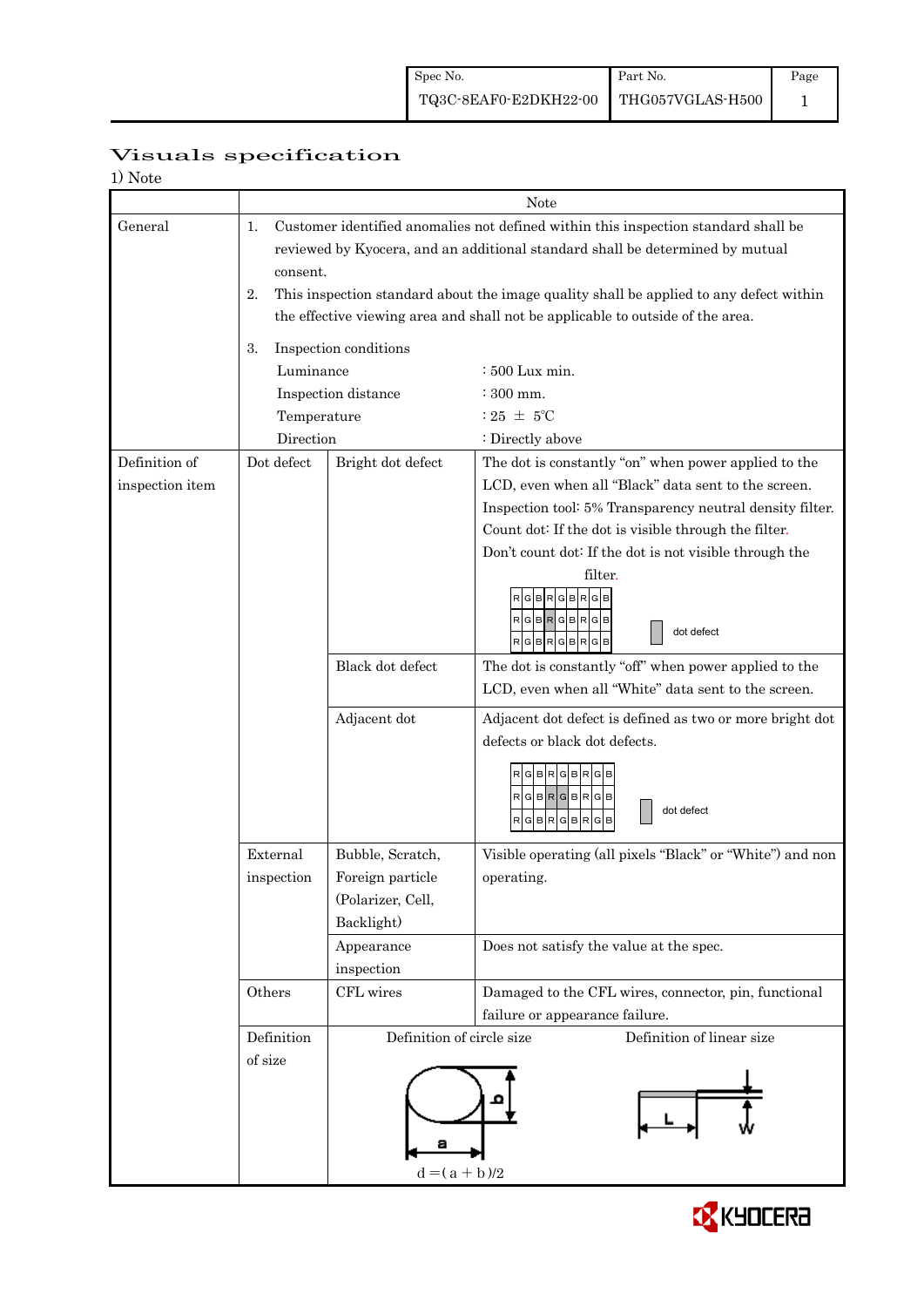|                   | Visuals specification |
|-------------------|-----------------------|
| $1$ $N_{\rm LLL}$ |                       |

| 1) Note         |                                                                                          |                                                                                        |                                                           |  |  |  |  |
|-----------------|------------------------------------------------------------------------------------------|----------------------------------------------------------------------------------------|-----------------------------------------------------------|--|--|--|--|
|                 | Note                                                                                     |                                                                                        |                                                           |  |  |  |  |
| General         | Customer identified anomalies not defined within this inspection standard shall be<br>1. |                                                                                        |                                                           |  |  |  |  |
|                 | reviewed by Kyocera, and an additional standard shall be determined by mutual            |                                                                                        |                                                           |  |  |  |  |
|                 | consent.                                                                                 |                                                                                        |                                                           |  |  |  |  |
|                 | 2.                                                                                       | This inspection standard about the image quality shall be applied to any defect within |                                                           |  |  |  |  |
|                 |                                                                                          | the effective viewing area and shall not be applicable to outside of the area.         |                                                           |  |  |  |  |
|                 |                                                                                          |                                                                                        |                                                           |  |  |  |  |
|                 | 3.                                                                                       | Inspection conditions                                                                  |                                                           |  |  |  |  |
|                 | Luminance                                                                                |                                                                                        | : 500 Lux min.                                            |  |  |  |  |
|                 |                                                                                          | Inspection distance                                                                    | $\div$ 300 mm.                                            |  |  |  |  |
|                 | Temperature                                                                              |                                                                                        | : 25 $\pm$ 5°C                                            |  |  |  |  |
|                 | Direction                                                                                |                                                                                        | : Directly above                                          |  |  |  |  |
| Definition of   | Dot defect                                                                               | Bright dot defect                                                                      | The dot is constantly "on" when power applied to the      |  |  |  |  |
| inspection item |                                                                                          |                                                                                        | LCD, even when all "Black" data sent to the screen.       |  |  |  |  |
|                 |                                                                                          |                                                                                        | Inspection tool: 5% Transparency neutral density filter.  |  |  |  |  |
|                 |                                                                                          |                                                                                        | Count dot: If the dot is visible through the filter.      |  |  |  |  |
|                 |                                                                                          |                                                                                        | Don't count dot: If the dot is not visible through the    |  |  |  |  |
|                 |                                                                                          |                                                                                        | filter.                                                   |  |  |  |  |
|                 |                                                                                          |                                                                                        | <b>GBRGBRGB</b>                                           |  |  |  |  |
|                 |                                                                                          |                                                                                        | $RGBRGBRGB$                                               |  |  |  |  |
|                 |                                                                                          |                                                                                        | dot defect<br>$RGBRGBRGB$                                 |  |  |  |  |
|                 |                                                                                          | Black dot defect                                                                       | The dot is constantly "off" when power applied to the     |  |  |  |  |
|                 |                                                                                          |                                                                                        | LCD, even when all "White" data sent to the screen.       |  |  |  |  |
|                 |                                                                                          | Adjacent dot                                                                           | Adjacent dot defect is defined as two or more bright dot  |  |  |  |  |
|                 |                                                                                          |                                                                                        | defects or black dot defects.                             |  |  |  |  |
|                 |                                                                                          |                                                                                        |                                                           |  |  |  |  |
|                 |                                                                                          |                                                                                        | RGBRGBRGB                                                 |  |  |  |  |
|                 |                                                                                          |                                                                                        | $R$ G $B$ R $G$ B $R$ G $B$<br>dot defect                 |  |  |  |  |
|                 |                                                                                          |                                                                                        | RGBRGBRGB                                                 |  |  |  |  |
|                 | External                                                                                 | Bubble, Scratch,                                                                       | Visible operating (all pixels "Black" or "White") and non |  |  |  |  |
|                 | inspection                                                                               | Foreign particle                                                                       | operating.                                                |  |  |  |  |
|                 |                                                                                          | (Polarizer, Cell,                                                                      |                                                           |  |  |  |  |
|                 |                                                                                          | Backlight)                                                                             |                                                           |  |  |  |  |
|                 |                                                                                          | Appearance                                                                             | Does not satisfy the value at the spec.                   |  |  |  |  |
|                 |                                                                                          | inspection                                                                             |                                                           |  |  |  |  |
|                 | Others                                                                                   | CFL wires                                                                              | Damaged to the CFL wires, connector, pin, functional      |  |  |  |  |
|                 |                                                                                          |                                                                                        | failure or appearance failure.                            |  |  |  |  |
|                 | Definition                                                                               | Definition of circle size                                                              | Definition of linear size                                 |  |  |  |  |
|                 | of size                                                                                  |                                                                                        |                                                           |  |  |  |  |
|                 |                                                                                          |                                                                                        |                                                           |  |  |  |  |
|                 |                                                                                          |                                                                                        |                                                           |  |  |  |  |
|                 |                                                                                          |                                                                                        |                                                           |  |  |  |  |
|                 |                                                                                          |                                                                                        |                                                           |  |  |  |  |
|                 | $d = (a + b)/2$                                                                          |                                                                                        |                                                           |  |  |  |  |
|                 |                                                                                          |                                                                                        |                                                           |  |  |  |  |